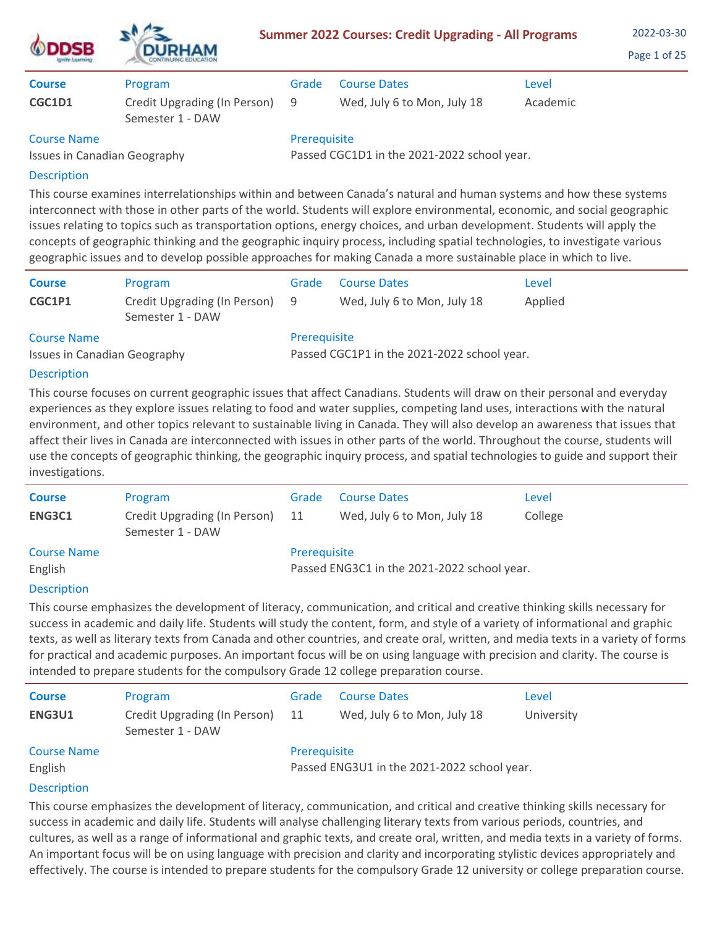| <b>ODDSB</b>                        | <b>DURHAM</b>                                    |                                             | <b>Summer 2022 Courses: Credit Upgrading - All Programs</b> | 2022-03-30<br>Page 1 of 25 |  |
|-------------------------------------|--------------------------------------------------|---------------------------------------------|-------------------------------------------------------------|----------------------------|--|
| <b>Course</b>                       | Program                                          | Grade                                       | <b>Course Dates</b>                                         | Level                      |  |
| <b>CGC1D1</b>                       | Credit Upgrading (In Person)<br>Semester 1 - DAW | -9                                          | Wed, July 6 to Mon, July 18                                 | Academic                   |  |
| <b>Course Name</b>                  |                                                  | Prerequisite                                |                                                             |                            |  |
| <b>Issues in Canadian Geography</b> |                                                  | Passed CGC1D1 in the 2021-2022 school year. |                                                             |                            |  |

This course examines interrelationships within and between Canada's natural and human systems and how these systems interconnect with those in other parts of the world. Students will explore environmental, economic, and social geographic issues relating to topics such as transportation options, energy choices, and urban development. Students will apply the concepts of geographic thinking and the geographic inquiry process, including spatial technologies, to investigate various geographic issues and to develop possible approaches for making Canada a more sustainable place in which to live.

| <b>Course</b>                                      | Program                                          | Grade                                                       | <b>Course Dates</b>         | Level   |  |  |
|----------------------------------------------------|--------------------------------------------------|-------------------------------------------------------------|-----------------------------|---------|--|--|
| CGC1P1                                             | Credit Upgrading (In Person)<br>Semester 1 - DAW | - 9                                                         | Wed, July 6 to Mon, July 18 | Applied |  |  |
| <b>Course Name</b><br>Issues in Canadian Geography |                                                  | Prerequisite<br>Passed CGC1P1 in the 2021-2022 school year. |                             |         |  |  |

# Description

This course focuses on current geographic issues that affect Canadians. Students will draw on their personal and everyday experiences as they explore issues relating to food and water supplies, competing land uses, interactions with the natural environment, and other topics relevant to sustainable living in Canada. They will also develop an awareness that issues that affect their lives in Canada are interconnected with issues in other parts of the world. Throughout the course, students will use the concepts of geographic thinking, the geographic inquiry process, and spatial technologies to guide and support their investigations.

| <b>Course</b>      | Program                                          | Grade                                       | <b>Course Dates</b>         | Level   |  |
|--------------------|--------------------------------------------------|---------------------------------------------|-----------------------------|---------|--|
| ENG3C1             | Credit Upgrading (In Person)<br>Semester 1 - DAW | -11                                         | Wed, July 6 to Mon, July 18 | College |  |
| <b>Course Name</b> |                                                  | Prerequisite                                |                             |         |  |
| English            |                                                  | Passed ENG3C1 in the 2021-2022 school year. |                             |         |  |
| <b>Decerintion</b> |                                                  |                                             |                             |         |  |

## **Description**

This course emphasizes the development of literacy, communication, and critical and creative thinking skills necessary for success in academic and daily life. Students will study the content, form, and style of a variety of informational and graphic texts, as well as literary texts from Canada and other countries, and create oral, written, and media texts in a variety of forms for practical and academic purposes. An important focus will be on using language with precision and clarity. The course is intended to prepare students for the compulsory Grade 12 college preparation course.

| <b>Course</b><br>ENG3U1       | Program<br>Credit Upgrading (In Person)<br>Semester 1 - DAW | Grade<br>-11 | <b>Course Dates</b><br>Wed, July 6 to Mon, July 18 | Level<br>University |
|-------------------------------|-------------------------------------------------------------|--------------|----------------------------------------------------|---------------------|
| <b>Course Name</b><br>English |                                                             | Prerequisite | Passed ENG3U1 in the 2021-2022 school year.        |                     |
| <b>Description</b>            |                                                             |              |                                                    |                     |

This course emphasizes the development of literacy, communication, and critical and creative thinking skills necessary for success in academic and daily life. Students will analyse challenging literary texts from various periods, countries, and cultures, as well as a range of informational and graphic texts, and create oral, written, and media texts in a variety of forms. An important focus will be on using language with precision and clarity and incorporating stylistic devices appropriately and effectively. The course is intended to prepare students for the compulsory Grade 12 university or college preparation course.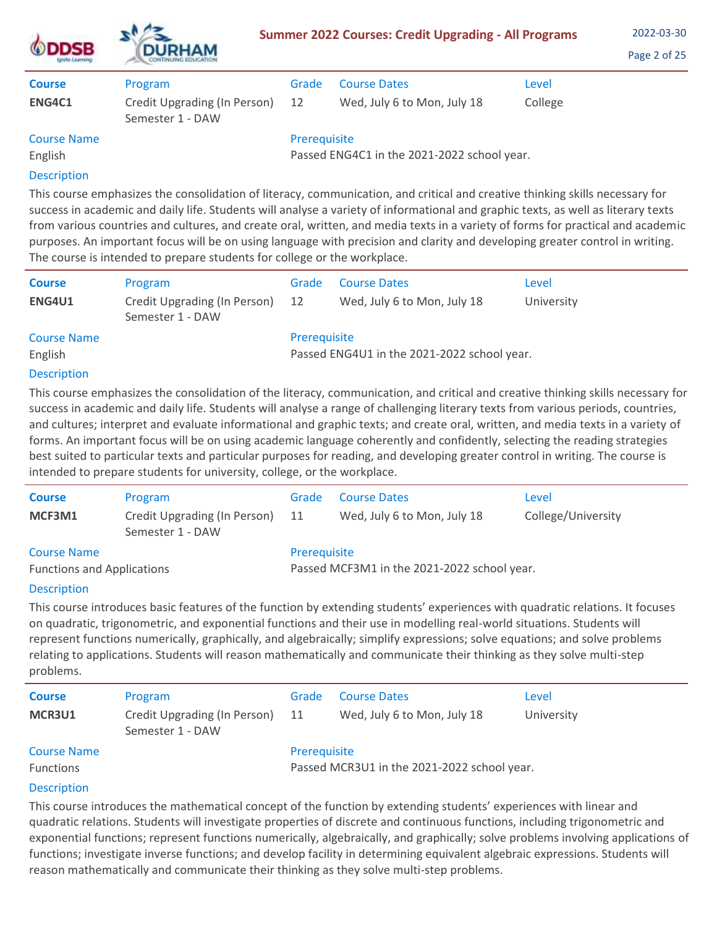| <b>DSB</b><br><b>ISHITO LIGATIVITI</b> | 72.<br><b>DURHAM</b>                             |              | <b>Summer 2022 Courses: Credit Upgrading - All Programs</b> |         | 2022-03-30<br>Page 2 of 25 |
|----------------------------------------|--------------------------------------------------|--------------|-------------------------------------------------------------|---------|----------------------------|
| <b>Course</b>                          | Program                                          | Grade        | <b>Course Dates</b>                                         | Level   |                            |
| <b>ENG4C1</b>                          | Credit Upgrading (In Person)<br>Semester 1 - DAW | 12           | Wed, July 6 to Mon, July 18                                 | College |                            |
| <b>Course Name</b>                     |                                                  | Prerequisite |                                                             |         |                            |
| English                                |                                                  |              | Passed ENG4C1 in the 2021-2022 school year.                 |         |                            |
| Description                            |                                                  |              |                                                             |         |                            |

This course emphasizes the consolidation of literacy, communication, and critical and creative thinking skills necessary for success in academic and daily life. Students will analyse a variety of informational and graphic texts, as well as literary texts from various countries and cultures, and create oral, written, and media texts in a variety of forms for practical and academic purposes. An important focus will be on using language with precision and clarity and developing greater control in writing. The course is intended to prepare students for college or the workplace.

| <b>Course</b><br><b>ENG4U1</b> | Program<br>Credit Upgrading (In Person) | Grade<br>12  | <b>Course Dates</b><br>Wed, July 6 to Mon, July 18 | Level<br>University |
|--------------------------------|-----------------------------------------|--------------|----------------------------------------------------|---------------------|
|                                | Semester 1 - DAW                        |              |                                                    |                     |
| <b>Course Name</b>             |                                         | Prerequisite |                                                    |                     |
| English                        |                                         |              | Passed ENG4U1 in the 2021-2022 school year.        |                     |
| <b>Description</b>             |                                         |              |                                                    |                     |

This course emphasizes the consolidation of the literacy, communication, and critical and creative thinking skills necessary for success in academic and daily life. Students will analyse a range of challenging literary texts from various periods, countries, and cultures; interpret and evaluate informational and graphic texts; and create oral, written, and media texts in a variety of forms. An important focus will be on using academic language coherently and confidently, selecting the reading strategies best suited to particular texts and particular purposes for reading, and developing greater control in writing. The course is intended to prepare students for university, college, or the workplace.

| <b>Course</b>                     | Program                                          | Grade                                       | <b>Course Dates</b>         | Level              |  |
|-----------------------------------|--------------------------------------------------|---------------------------------------------|-----------------------------|--------------------|--|
| MCF3M1                            | Credit Upgrading (In Person)<br>Semester 1 - DAW | - 11                                        | Wed, July 6 to Mon, July 18 | College/University |  |
| <b>Course Name</b>                |                                                  | Prerequisite                                |                             |                    |  |
| <b>Functions and Applications</b> |                                                  | Passed MCF3M1 in the 2021-2022 school year. |                             |                    |  |

# **Description**

This course introduces basic features of the function by extending students' experiences with quadratic relations. It focuses on quadratic, trigonometric, and exponential functions and their use in modelling real-world situations. Students will represent functions numerically, graphically, and algebraically; simplify expressions; solve equations; and solve problems relating to applications. Students will reason mathematically and communicate their thinking as they solve multi-step problems.

| <b>Course</b><br>MCR3U1                | Program<br>Credit Upgrading (In Person)<br>Semester 1 - DAW | Grade<br>11  | <b>Course Dates</b><br>Wed, July 6 to Mon, July 18 | Level<br>University |
|----------------------------------------|-------------------------------------------------------------|--------------|----------------------------------------------------|---------------------|
| <b>Course Name</b><br><b>Functions</b> |                                                             | Prerequisite | Passed MCR3U1 in the 2021-2022 school year.        |                     |
| Docerintion                            |                                                             |              |                                                    |                     |

# **Description**

This course introduces the mathematical concept of the function by extending students' experiences with linear and quadratic relations. Students will investigate properties of discrete and continuous functions, including trigonometric and exponential functions; represent functions numerically, algebraically, and graphically; solve problems involving applications of functions; investigate inverse functions; and develop facility in determining equivalent algebraic expressions. Students will reason mathematically and communicate their thinking as they solve multi-step problems.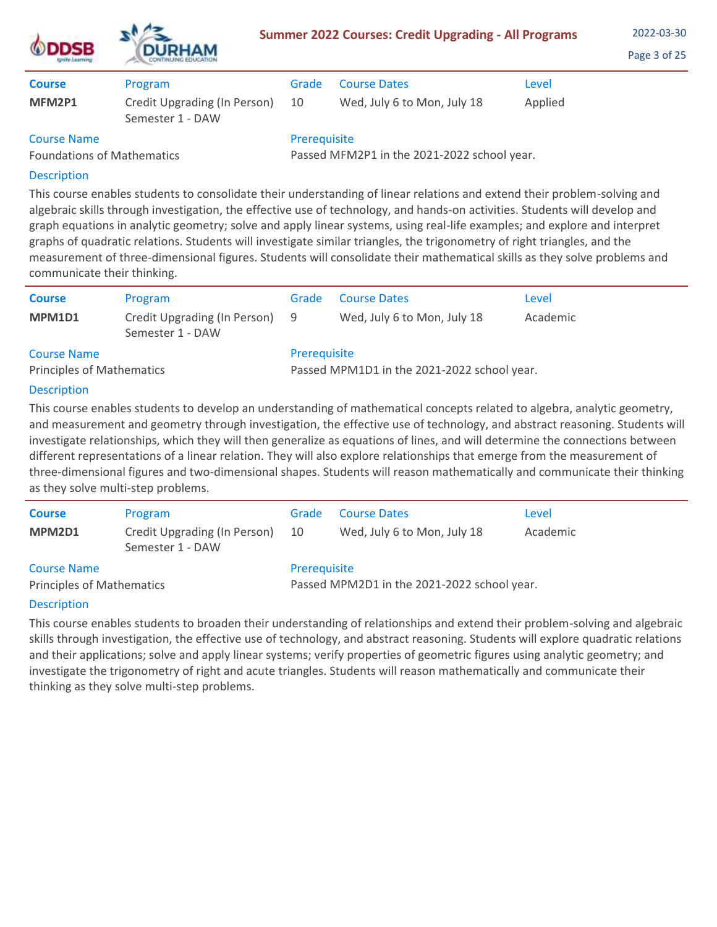| <b>ODDSB</b><br><b>Ignite Learning</b> | <b>DURHAM</b>                                    | <b>Summer 2022 Courses: Credit Upgrading - All Programs</b> | 2022-03-30<br>Page 3 of 25  |         |  |
|----------------------------------------|--------------------------------------------------|-------------------------------------------------------------|-----------------------------|---------|--|
| <b>Course</b>                          | Program                                          | Grade                                                       | <b>Course Dates</b>         | Level   |  |
| MFM2P1                                 | Credit Upgrading (In Person)<br>Semester 1 - DAW | 10                                                          | Wed, July 6 to Mon, July 18 | Applied |  |
| <b>Course Name</b>                     |                                                  | Prerequisite                                                |                             |         |  |

Foundations of Mathematics

Passed MFM2P1 in the 2021-2022 school year.

# Description

This course enables students to consolidate their understanding of linear relations and extend their problem-solving and algebraic skills through investigation, the effective use of technology, and hands-on activities. Students will develop and graph equations in analytic geometry; solve and apply linear systems, using real-life examples; and explore and interpret graphs of quadratic relations. Students will investigate similar triangles, the trigonometry of right triangles, and the measurement of three-dimensional figures. Students will consolidate their mathematical skills as they solve problems and communicate their thinking.

| <b>Course</b><br>MPM1D1                                | Program<br>Credit Upgrading (In Person) 9<br>Semester 1 - DAW | Grade        | <b>Course Dates</b><br>Wed, July 6 to Mon, July 18 | Level<br>Academic |
|--------------------------------------------------------|---------------------------------------------------------------|--------------|----------------------------------------------------|-------------------|
| <b>Course Name</b><br><b>Principles of Mathematics</b> |                                                               | Prerequisite | Passed MPM1D1 in the 2021-2022 school year.        |                   |

# Description

This course enables students to develop an understanding of mathematical concepts related to algebra, analytic geometry, and measurement and geometry through investigation, the effective use of technology, and abstract reasoning. Students will investigate relationships, which they will then generalize as equations of lines, and will determine the connections between different representations of a linear relation. They will also explore relationships that emerge from the measurement of three-dimensional figures and two-dimensional shapes. Students will reason mathematically and communicate their thinking as they solve multi-step problems.

| <b>Course</b>                    | Program                                          | Grade                                       | <b>Course Dates</b>         | Level    |  |
|----------------------------------|--------------------------------------------------|---------------------------------------------|-----------------------------|----------|--|
| MPM2D1                           | Credit Upgrading (In Person)<br>Semester 1 - DAW | -10                                         | Wed, July 6 to Mon, July 18 | Academic |  |
| <b>Course Name</b>               |                                                  | Prerequisite                                |                             |          |  |
| <b>Principles of Mathematics</b> |                                                  | Passed MPM2D1 in the 2021-2022 school year. |                             |          |  |

# **Description**

This course enables students to broaden their understanding of relationships and extend their problem-solving and algebraic skills through investigation, the effective use of technology, and abstract reasoning. Students will explore quadratic relations and their applications; solve and apply linear systems; verify properties of geometric figures using analytic geometry; and investigate the trigonometry of right and acute triangles. Students will reason mathematically and communicate their thinking as they solve multi-step problems.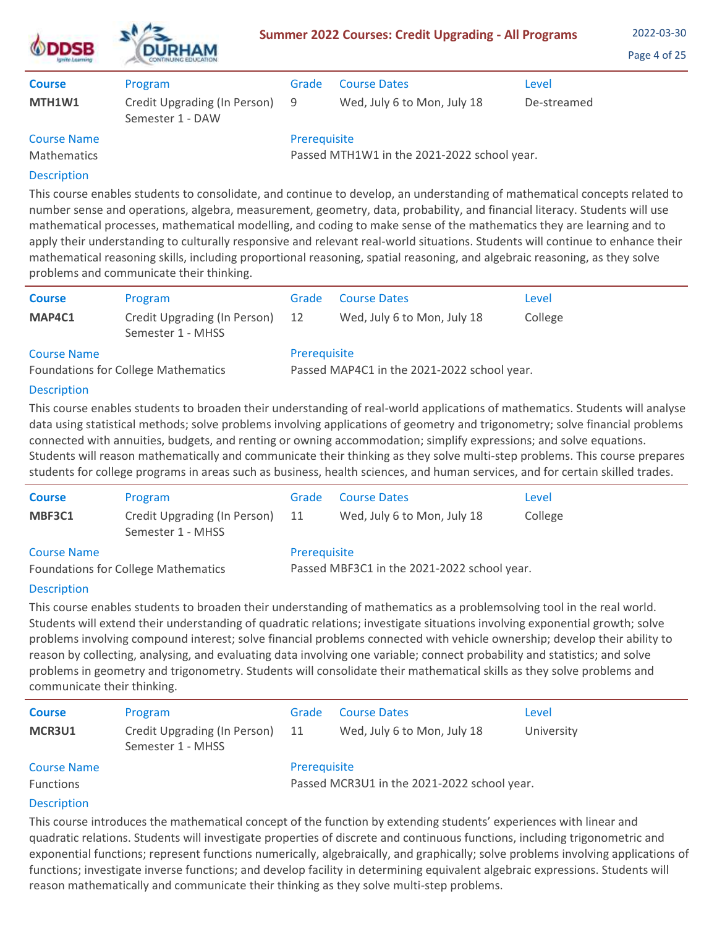| <b>ISTORY A BATTLENS</b> | <b>Summer 2022 Courses: Credit Upgrading - All Programs</b><br><b>DURHAM</b> |              |                                             |             |  |  |
|--------------------------|------------------------------------------------------------------------------|--------------|---------------------------------------------|-------------|--|--|
| <b>Course</b>            | Program                                                                      | Grade        | <b>Course Dates</b>                         | Level       |  |  |
| MTH1W1                   | Credit Upgrading (In Person)<br>Semester 1 - DAW                             | 9            | Wed, July 6 to Mon, July 18                 | De-streamed |  |  |
| <b>Course Name</b>       |                                                                              | Prerequisite |                                             |             |  |  |
| <b>Mathematics</b>       |                                                                              |              | Passed MTH1W1 in the 2021-2022 school year. |             |  |  |
| <b>Description</b>       |                                                                              |              |                                             |             |  |  |

This course enables students to consolidate, and continue to develop, an understanding of mathematical concepts related to number sense and operations, algebra, measurement, geometry, data, probability, and financial literacy. Students will use mathematical processes, mathematical modelling, and coding to make sense of the mathematics they are learning and to apply their understanding to culturally responsive and relevant real-world situations. Students will continue to enhance their mathematical reasoning skills, including proportional reasoning, spatial reasoning, and algebraic reasoning, as they solve problems and communicate their thinking.

| <b>Course</b>                              | Program                                           | Grade                                       | <b>Course Dates</b>         | Level   |  |
|--------------------------------------------|---------------------------------------------------|---------------------------------------------|-----------------------------|---------|--|
| MAP4C1                                     | Credit Upgrading (In Person)<br>Semester 1 - MHSS | 12                                          | Wed, July 6 to Mon, July 18 | College |  |
| <b>Course Name</b>                         |                                                   | Prerequisite                                |                             |         |  |
| <b>Foundations for College Mathematics</b> |                                                   | Passed MAP4C1 in the 2021-2022 school year. |                             |         |  |
|                                            |                                                   |                                             |                             |         |  |

# **Description**

 $\mathbf{A}$ 

This course enables students to broaden their understanding of real-world applications of mathematics. Students will analyse data using statistical methods; solve problems involving applications of geometry and trigonometry; solve financial problems connected with annuities, budgets, and renting or owning accommodation; simplify expressions; and solve equations. Students will reason mathematically and communicate their thinking as they solve multi-step problems. This course prepares students for college programs in areas such as business, health sciences, and human services, and for certain skilled trades.

| <b>Course</b>                              | Program                                           | Grade                                       | <b>Course Dates</b>         | Level   |  |  |
|--------------------------------------------|---------------------------------------------------|---------------------------------------------|-----------------------------|---------|--|--|
| MBF3C1                                     | Credit Upgrading (In Person)<br>Semester 1 - MHSS | 11                                          | Wed, July 6 to Mon, July 18 | College |  |  |
| <b>Course Name</b>                         |                                                   | Prerequisite                                |                             |         |  |  |
| <b>Foundations for College Mathematics</b> |                                                   | Passed MBF3C1 in the 2021-2022 school year. |                             |         |  |  |

# **Description**

This course enables students to broaden their understanding of mathematics as a problemsolving tool in the real world. Students will extend their understanding of quadratic relations; investigate situations involving exponential growth; solve problems involving compound interest; solve financial problems connected with vehicle ownership; develop their ability to reason by collecting, analysing, and evaluating data involving one variable; connect probability and statistics; and solve problems in geometry and trigonometry. Students will consolidate their mathematical skills as they solve problems and communicate their thinking.

| <b>Course</b>                          | Program                                           | Grade        | <b>Course Dates</b>                         | Level      |
|----------------------------------------|---------------------------------------------------|--------------|---------------------------------------------|------------|
| MCR3U1                                 | Credit Upgrading (In Person)<br>Semester 1 - MHSS | 11           | Wed, July 6 to Mon, July 18                 | University |
| <b>Course Name</b><br><b>Functions</b> |                                                   | Prerequisite | Passed MCR3U1 in the 2021-2022 school year. |            |

# Description

This course introduces the mathematical concept of the function by extending students' experiences with linear and quadratic relations. Students will investigate properties of discrete and continuous functions, including trigonometric and exponential functions; represent functions numerically, algebraically, and graphically; solve problems involving applications of functions; investigate inverse functions; and develop facility in determining equivalent algebraic expressions. Students will reason mathematically and communicate their thinking as they solve multi-step problems.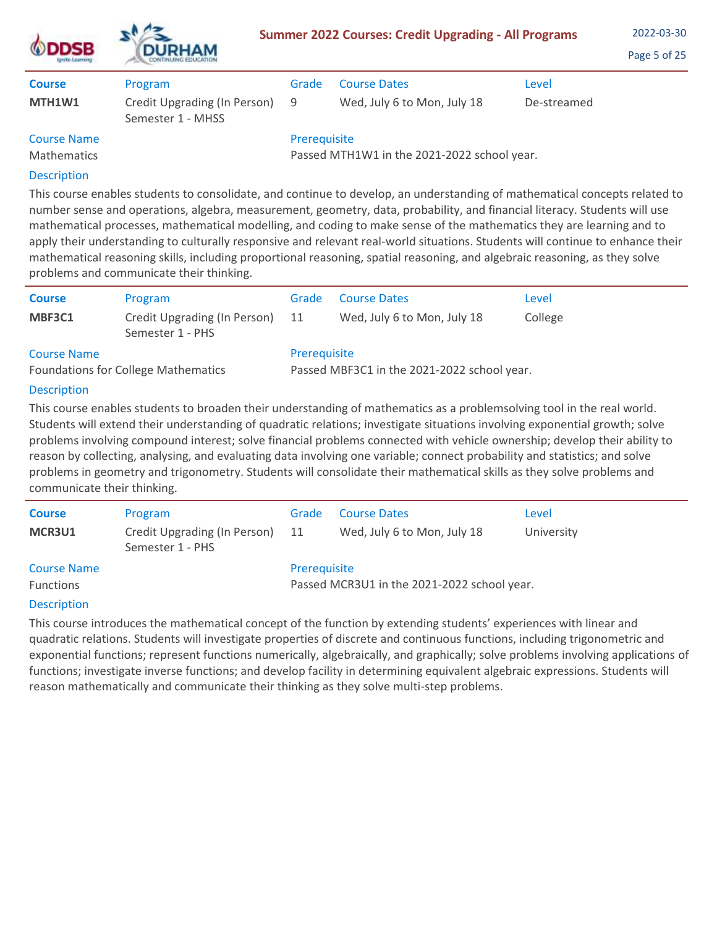| <b>DSB</b><br><b>ISTORY A BATTLENS</b> | <b>DURHAM</b>                                       |              | <b>Summer 2022 Courses: Credit Upgrading - All Programs</b> |             | 2022-03-30<br>Page 5 of 25 |
|----------------------------------------|-----------------------------------------------------|--------------|-------------------------------------------------------------|-------------|----------------------------|
| <b>Course</b>                          | Program                                             | Grade        | <b>Course Dates</b>                                         | Level       |                            |
| MTH1W1                                 | Credit Upgrading (In Person) 9<br>Semester 1 - MHSS |              | Wed, July 6 to Mon, July 18                                 | De-streamed |                            |
| <b>Course Name</b>                     |                                                     | Prerequisite |                                                             |             |                            |
| <b>Mathematics</b>                     |                                                     |              | Passed MTH1W1 in the 2021-2022 school year.                 |             |                            |
| <b>Description</b>                     |                                                     |              |                                                             |             |                            |

 $\mathbf{A}$ 

This course enables students to consolidate, and continue to develop, an understanding of mathematical concepts related to number sense and operations, algebra, measurement, geometry, data, probability, and financial literacy. Students will use mathematical processes, mathematical modelling, and coding to make sense of the mathematics they are learning and to apply their understanding to culturally responsive and relevant real-world situations. Students will continue to enhance their mathematical reasoning skills, including proportional reasoning, spatial reasoning, and algebraic reasoning, as they solve problems and communicate their thinking.

| <b>Course</b>                              | Program                                          | Grade                                       | <b>Course Dates</b>         | Level   |  |  |
|--------------------------------------------|--------------------------------------------------|---------------------------------------------|-----------------------------|---------|--|--|
| MBF3C1                                     | Credit Upgrading (In Person)<br>Semester 1 - PHS | 11                                          | Wed, July 6 to Mon, July 18 | College |  |  |
| <b>Course Name</b>                         |                                                  | Prerequisite                                |                             |         |  |  |
| <b>Foundations for College Mathematics</b> |                                                  | Passed MBF3C1 in the 2021-2022 school year. |                             |         |  |  |
| <b>Description</b>                         |                                                  |                                             |                             |         |  |  |
| $- \cdot$ .                                |                                                  |                                             |                             |         |  |  |

This course enables students to broaden their understanding of mathematics as a problemsolving tool in the real world. Students will extend their understanding of quadratic relations; investigate situations involving exponential growth; solve problems involving compound interest; solve financial problems connected with vehicle ownership; develop their ability to reason by collecting, analysing, and evaluating data involving one variable; connect probability and statistics; and solve problems in geometry and trigonometry. Students will consolidate their mathematical skills as they solve problems and communicate their thinking.

| <b>Course</b><br>MCR3U1                | Program<br>Credit Upgrading (In Person)<br>Semester 1 - PHS | Grade<br>11                                                 | <b>Course Dates</b><br>Wed, July 6 to Mon, July 18 | Level<br>University |
|----------------------------------------|-------------------------------------------------------------|-------------------------------------------------------------|----------------------------------------------------|---------------------|
| <b>Course Name</b><br><b>Functions</b> |                                                             | Prerequisite<br>Passed MCR3U1 in the 2021-2022 school year. |                                                    |                     |

# **Description**

This course introduces the mathematical concept of the function by extending students' experiences with linear and quadratic relations. Students will investigate properties of discrete and continuous functions, including trigonometric and exponential functions; represent functions numerically, algebraically, and graphically; solve problems involving applications of functions; investigate inverse functions; and develop facility in determining equivalent algebraic expressions. Students will reason mathematically and communicate their thinking as they solve multi-step problems.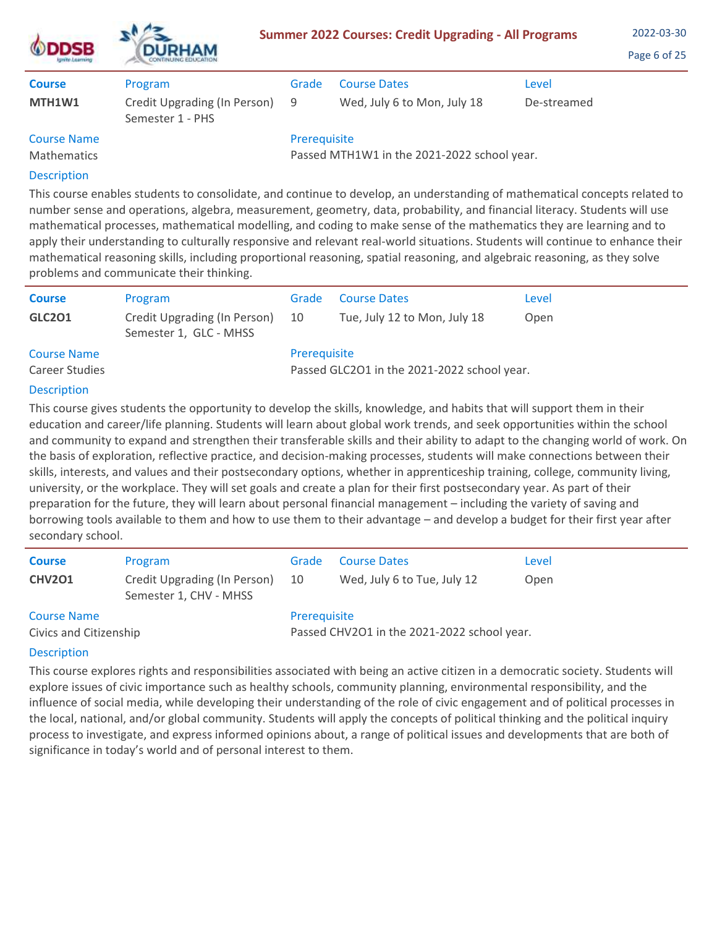| <b>DSB</b>         | <b>DURHAM</b>                                    |              | <b>Summer 2022 Courses: Credit Upgrading - All Programs</b> |             | 2022-03-30<br>Page 6 of 25 |
|--------------------|--------------------------------------------------|--------------|-------------------------------------------------------------|-------------|----------------------------|
| <b>Course</b>      | Program                                          | Grade        | <b>Course Dates</b>                                         | Level       |                            |
| MTH1W1             | Credit Upgrading (In Person)<br>Semester 1 - PHS | 9            | Wed, July 6 to Mon, July 18                                 | De-streamed |                            |
| <b>Course Name</b> |                                                  | Prerequisite |                                                             |             |                            |
| <b>Mathematics</b> |                                                  |              | Passed MTH1W1 in the 2021-2022 school year.                 |             |                            |
| <b>Description</b> |                                                  |              |                                                             |             |                            |

This course enables students to consolidate, and continue to develop, an understanding of mathematical concepts related to number sense and operations, algebra, measurement, geometry, data, probability, and financial literacy. Students will use mathematical processes, mathematical modelling, and coding to make sense of the mathematics they are learning and to apply their understanding to culturally responsive and relevant real-world situations. Students will continue to enhance their mathematical reasoning skills, including proportional reasoning, spatial reasoning, and algebraic reasoning, as they solve problems and communicate their thinking.

| <b>Course</b>                        | Program                                                | Grade        | <b>Course Dates</b>                         | Level |
|--------------------------------------|--------------------------------------------------------|--------------|---------------------------------------------|-------|
| <b>GLC201</b>                        | Credit Upgrading (In Person)<br>Semester 1, GLC - MHSS | 10           | Tue, July 12 to Mon, July 18                | Open  |
| <b>Course Name</b><br>Career Studies |                                                        | Prerequisite | Passed GLC2O1 in the 2021-2022 school year. |       |

# **Description**

 $\mathbf{A}$ 

This course gives students the opportunity to develop the skills, knowledge, and habits that will support them in their education and career/life planning. Students will learn about global work trends, and seek opportunities within the school and community to expand and strengthen their transferable skills and their ability to adapt to the changing world of work. On the basis of exploration, reflective practice, and decision-making processes, students will make connections between their skills, interests, and values and their postsecondary options, whether in apprenticeship training, college, community living, university, or the workplace. They will set goals and create a plan for their first postsecondary year. As part of their preparation for the future, they will learn about personal financial management – including the variety of saving and borrowing tools available to them and how to use them to their advantage – and develop a budget for their first year after secondary school.

| <b>Course</b>          | Program                                                | Grade                                       | <b>Course Dates</b>         | Level |  |
|------------------------|--------------------------------------------------------|---------------------------------------------|-----------------------------|-------|--|
| <b>CHV2O1</b>          | Credit Upgrading (In Person)<br>Semester 1, CHV - MHSS | 10                                          | Wed, July 6 to Tue, July 12 | Open  |  |
| <b>Course Name</b>     |                                                        | Prerequisite                                |                             |       |  |
| Civics and Citizenship |                                                        | Passed CHV2O1 in the 2021-2022 school year. |                             |       |  |

# Description

This course explores rights and responsibilities associated with being an active citizen in a democratic society. Students will explore issues of civic importance such as healthy schools, community planning, environmental responsibility, and the influence of social media, while developing their understanding of the role of civic engagement and of political processes in the local, national, and/or global community. Students will apply the concepts of political thinking and the political inquiry process to investigate, and express informed opinions about, a range of political issues and developments that are both of significance in today's world and of personal interest to them.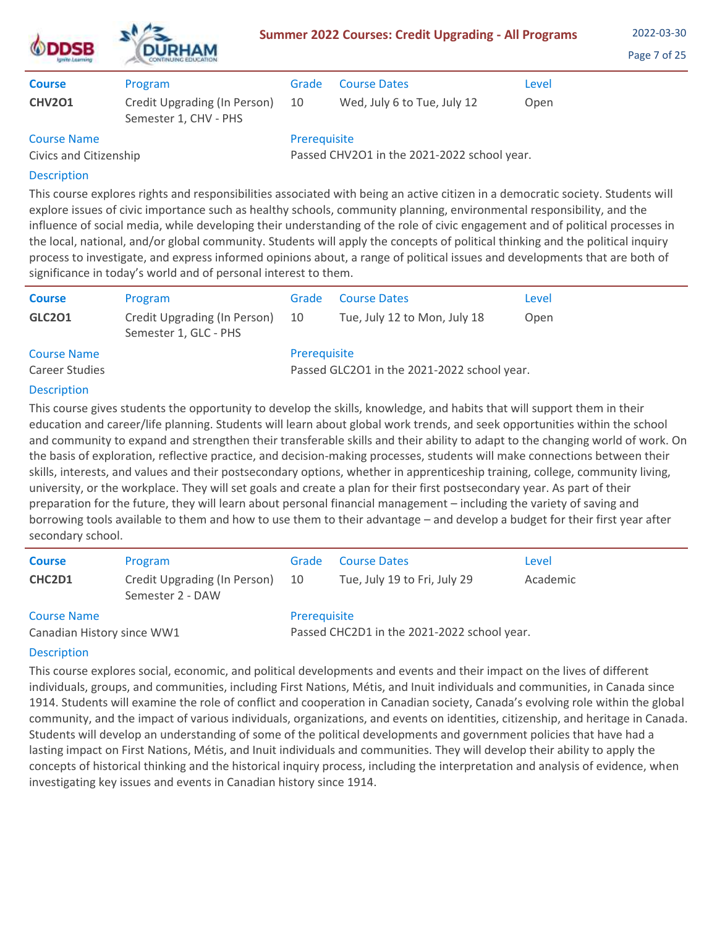| )SB                                          | <b>DURHAM</b>                                         | <b>Summer 2022 Courses: Credit Upgrading - All Programs</b> | 2022-03-30<br>Page 7 of 25                  |       |  |
|----------------------------------------------|-------------------------------------------------------|-------------------------------------------------------------|---------------------------------------------|-------|--|
| <b>Course</b>                                | Program                                               | Grade                                                       | <b>Course Dates</b>                         | Level |  |
| <b>CHV2O1</b>                                | Credit Upgrading (In Person)<br>Semester 1, CHV - PHS | 10                                                          | Wed, July 6 to Tue, July 12                 | Open  |  |
| <b>Course Name</b><br>Civics and Citizenship |                                                       | Prerequisite                                                | Passed CHV2O1 in the 2021-2022 school year. |       |  |

This course explores rights and responsibilities associated with being an active citizen in a democratic society. Students will explore issues of civic importance such as healthy schools, community planning, environmental responsibility, and the influence of social media, while developing their understanding of the role of civic engagement and of political processes in the local, national, and/or global community. Students will apply the concepts of political thinking and the political inquiry process to investigate, and express informed opinions about, a range of political issues and developments that are both of significance in today's world and of personal interest to them.

| <b>Course</b>      | Program                                               | Grade        | <b>Course Dates</b>                         | Level |
|--------------------|-------------------------------------------------------|--------------|---------------------------------------------|-------|
| <b>GLC201</b>      | Credit Upgrading (In Person)<br>Semester 1, GLC - PHS | 10           | Tue, July 12 to Mon, July 18                | Open  |
| <b>Course Name</b> |                                                       | Prerequisite |                                             |       |
| Career Studies     |                                                       |              | Passed GLC201 in the 2021-2022 school year. |       |

## Description

This course gives students the opportunity to develop the skills, knowledge, and habits that will support them in their education and career/life planning. Students will learn about global work trends, and seek opportunities within the school and community to expand and strengthen their transferable skills and their ability to adapt to the changing world of work. On the basis of exploration, reflective practice, and decision-making processes, students will make connections between their skills, interests, and values and their postsecondary options, whether in apprenticeship training, college, community living, university, or the workplace. They will set goals and create a plan for their first postsecondary year. As part of their preparation for the future, they will learn about personal financial management – including the variety of saving and borrowing tools available to them and how to use them to their advantage – and develop a budget for their first year after secondary school.

| <b>Course</b>              | Program                                          | Grade                                       | <b>Course Dates</b>          | Level    |  |
|----------------------------|--------------------------------------------------|---------------------------------------------|------------------------------|----------|--|
| CHC2D1                     | Credit Upgrading (In Person)<br>Semester 2 - DAW | 10                                          | Tue, July 19 to Fri, July 29 | Academic |  |
| <b>Course Name</b>         |                                                  | Prerequisite                                |                              |          |  |
| Canadian History since WW1 |                                                  | Passed CHC2D1 in the 2021-2022 school year. |                              |          |  |

# **Description**

This course explores social, economic, and political developments and events and their impact on the lives of different individuals, groups, and communities, including First Nations, Métis, and Inuit individuals and communities, in Canada since 1914. Students will examine the role of conflict and cooperation in Canadian society, Canada's evolving role within the global community, and the impact of various individuals, organizations, and events on identities, citizenship, and heritage in Canada. Students will develop an understanding of some of the political developments and government policies that have had a lasting impact on First Nations, Métis, and Inuit individuals and communities. They will develop their ability to apply the concepts of historical thinking and the historical inquiry process, including the interpretation and analysis of evidence, when investigating key issues and events in Canadian history since 1914.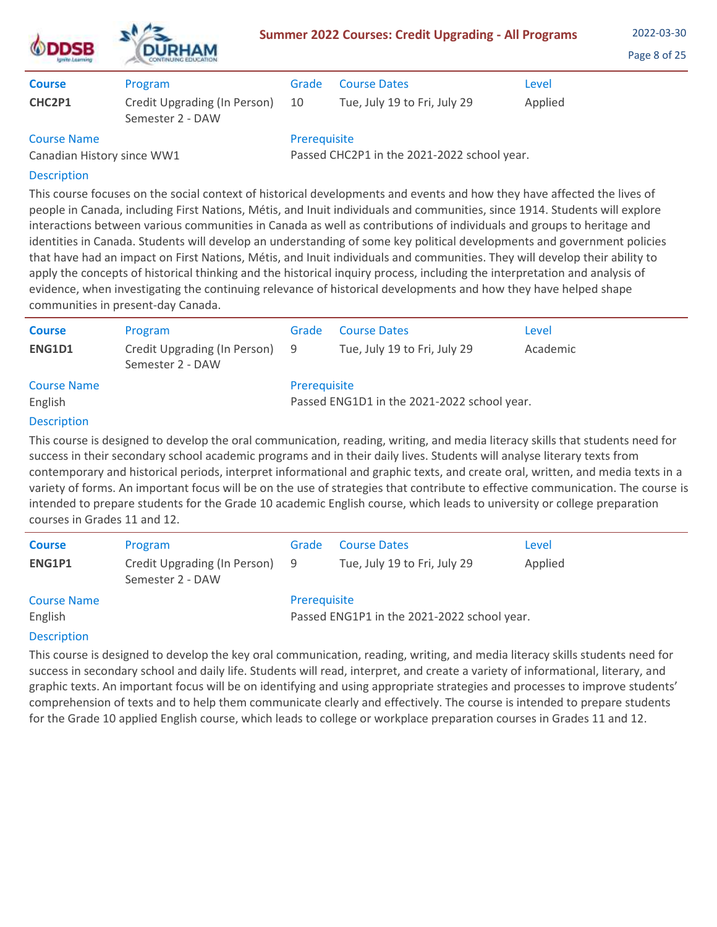| <b>ODDSB</b><br>Ignite Learning | <b>DURHAM</b><br>CONTINUING EDUCATION            |       | <b>Summer 2022 Courses: Credit Upgrading - All Programs</b> |         | 2022-03-30<br>Page 8 of 25 |
|---------------------------------|--------------------------------------------------|-------|-------------------------------------------------------------|---------|----------------------------|
| <b>Course</b>                   | Program                                          | Grade | <b>Course Dates</b>                                         | Level   |                            |
| CHC2P1                          | Credit Upgrading (In Person)<br>Semester 2 - DAW | 10    | Tue, July 19 to Fri, July 29                                | Applied |                            |

# Course Name

Canadian History since WW1

Prerequisite

Passed CHC2P1 in the 2021-2022 school year.

# Description

This course focuses on the social context of historical developments and events and how they have affected the lives of people in Canada, including First Nations, Métis, and Inuit individuals and communities, since 1914. Students will explore interactions between various communities in Canada as well as contributions of individuals and groups to heritage and identities in Canada. Students will develop an understanding of some key political developments and government policies that have had an impact on First Nations, Métis, and Inuit individuals and communities. They will develop their ability to apply the concepts of historical thinking and the historical inquiry process, including the interpretation and analysis of evidence, when investigating the continuing relevance of historical developments and how they have helped shape communities in present-day Canada.

| <b>Course</b><br>ENG1D1       | Program<br>Credit Upgrading (In Person)<br>Semester 2 - DAW | Grade<br>- 9 | <b>Course Dates</b><br>Tue, July 19 to Fri, July 29 | Level<br>Academic |
|-------------------------------|-------------------------------------------------------------|--------------|-----------------------------------------------------|-------------------|
| <b>Course Name</b><br>English |                                                             | Prerequisite | Passed ENG1D1 in the 2021-2022 school year.         |                   |

# Description

This course is designed to develop the oral communication, reading, writing, and media literacy skills that students need for success in their secondary school academic programs and in their daily lives. Students will analyse literary texts from contemporary and historical periods, interpret informational and graphic texts, and create oral, written, and media texts in a variety of forms. An important focus will be on the use of strategies that contribute to effective communication. The course is intended to prepare students for the Grade 10 academic English course, which leads to university or college preparation courses in Grades 11 and 12.

| <b>Course</b>      | Program                                            | Grade        | <b>Course Dates</b>                         | Level   |  |  |
|--------------------|----------------------------------------------------|--------------|---------------------------------------------|---------|--|--|
| ENG1P1             | Credit Upgrading (In Person) 9<br>Semester 2 - DAW |              | Tue, July 19 to Fri, July 29                | Applied |  |  |
| <b>Course Name</b> |                                                    | Prerequisite |                                             |         |  |  |
| English            |                                                    |              | Passed ENG1P1 in the 2021-2022 school year. |         |  |  |
| <b>Doccription</b> |                                                    |              |                                             |         |  |  |

# **Description**

This course is designed to develop the key oral communication, reading, writing, and media literacy skills students need for success in secondary school and daily life. Students will read, interpret, and create a variety of informational, literary, and graphic texts. An important focus will be on identifying and using appropriate strategies and processes to improve students' comprehension of texts and to help them communicate clearly and effectively. The course is intended to prepare students for the Grade 10 applied English course, which leads to college or workplace preparation courses in Grades 11 and 12.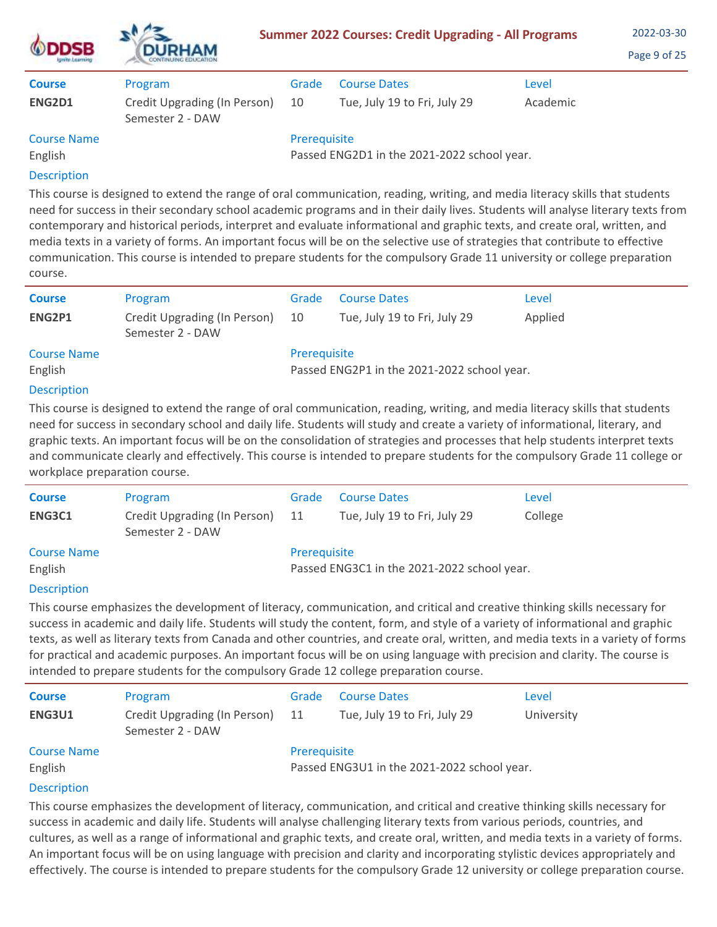| <b>DSB</b><br>grife Learning | <b>DURHAM</b>                                    | <b>Summer 2022 Courses: Credit Upgrading - All Programs</b> | 2022-03-30<br>Page 9 of 25                  |          |  |
|------------------------------|--------------------------------------------------|-------------------------------------------------------------|---------------------------------------------|----------|--|
| <b>Course</b>                | Program                                          | Grade                                                       | <b>Course Dates</b>                         | Level    |  |
| ENG2D1                       | Credit Upgrading (In Person)<br>Semester 2 - DAW | 10                                                          | Tue, July 19 to Fri, July 29                | Academic |  |
| <b>Course Name</b>           |                                                  | Prerequisite                                                |                                             |          |  |
| English                      |                                                  |                                                             | Passed ENG2D1 in the 2021-2022 school year. |          |  |
| The constructions of         |                                                  |                                                             |                                             |          |  |

This course is designed to extend the range of oral communication, reading, writing, and media literacy skills that students need for success in their secondary school academic programs and in their daily lives. Students will analyse literary texts from contemporary and historical periods, interpret and evaluate informational and graphic texts, and create oral, written, and media texts in a variety of forms. An important focus will be on the selective use of strategies that contribute to effective communication. This course is intended to prepare students for the compulsory Grade 11 university or college preparation course.

| <b>Course</b>      | Program                                          | Grade        | <b>Course Dates</b>                         | Level   |  |  |
|--------------------|--------------------------------------------------|--------------|---------------------------------------------|---------|--|--|
| ENG2P1             | Credit Upgrading (In Person)<br>Semester 2 - DAW | -10          | Tue, July 19 to Fri, July 29                | Applied |  |  |
| <b>Course Name</b> |                                                  | Prerequisite |                                             |         |  |  |
| English            |                                                  |              | Passed ENG2P1 in the 2021-2022 school year. |         |  |  |
|                    |                                                  |              |                                             |         |  |  |

## **Description**

This course is designed to extend the range of oral communication, reading, writing, and media literacy skills that students need for success in secondary school and daily life. Students will study and create a variety of informational, literary, and graphic texts. An important focus will be on the consolidation of strategies and processes that help students interpret texts and communicate clearly and effectively. This course is intended to prepare students for the compulsory Grade 11 college or workplace preparation course.

| <b>Course</b>      | Program                                          | Grade                                       | <b>Course Dates</b>          | Level   |  |
|--------------------|--------------------------------------------------|---------------------------------------------|------------------------------|---------|--|
| ENG3C1             | Credit Upgrading (In Person)<br>Semester 2 - DAW | 11                                          | Tue, July 19 to Fri, July 29 | College |  |
| <b>Course Name</b> |                                                  | Prerequisite                                |                              |         |  |
| English            |                                                  | Passed ENG3C1 in the 2021-2022 school year. |                              |         |  |
| <b>Description</b> |                                                  |                                             |                              |         |  |

# Description

This course emphasizes the development of literacy, communication, and critical and creative thinking skills necessary for success in academic and daily life. Students will study the content, form, and style of a variety of informational and graphic texts, as well as literary texts from Canada and other countries, and create oral, written, and media texts in a variety of forms for practical and academic purposes. An important focus will be on using language with precision and clarity. The course is intended to prepare students for the compulsory Grade 12 college preparation course.

| <b>Course</b>      | Program                                          | Grade        | <b>Course Dates</b>                         | Level      |
|--------------------|--------------------------------------------------|--------------|---------------------------------------------|------------|
| ENG3U1             | Credit Upgrading (In Person)<br>Semester 2 - DAW | - 11         | Tue, July 19 to Fri, July 29                | University |
| <b>Course Name</b> |                                                  | Prerequisite |                                             |            |
| English            |                                                  |              | Passed ENG3U1 in the 2021-2022 school year. |            |
| <b>Description</b> |                                                  |              |                                             |            |

This course emphasizes the development of literacy, communication, and critical and creative thinking skills necessary for success in academic and daily life. Students will analyse challenging literary texts from various periods, countries, and cultures, as well as a range of informational and graphic texts, and create oral, written, and media texts in a variety of forms. An important focus will be on using language with precision and clarity and incorporating stylistic devices appropriately and effectively. The course is intended to prepare students for the compulsory Grade 12 university or college preparation course.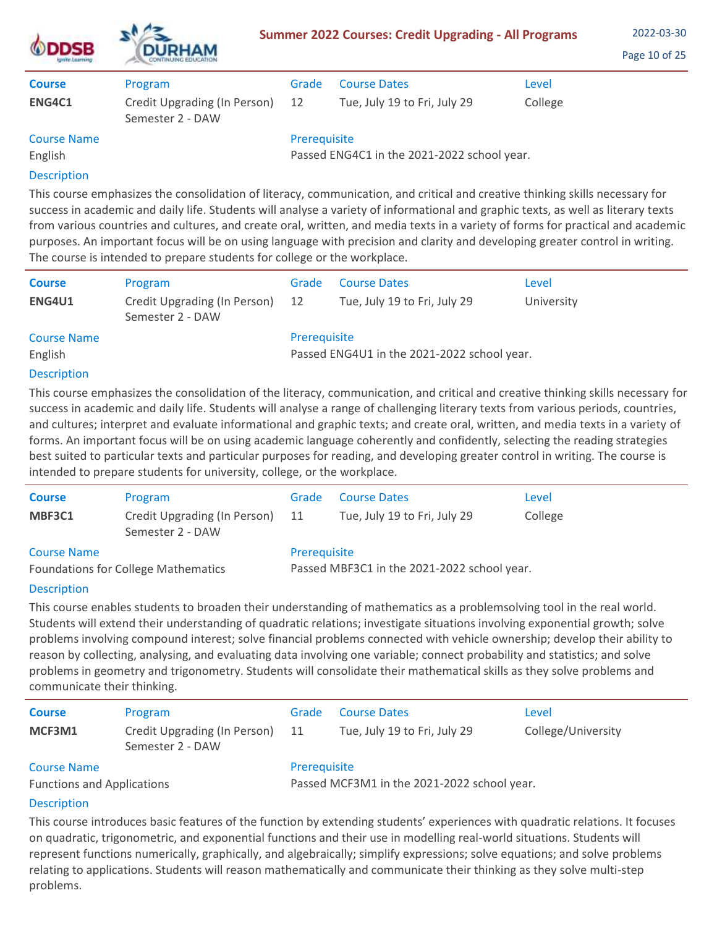| <b>DDSB</b><br><b>ISTURO A GATERING</b> | <b>DURHAM</b>                                    | <b>Summer 2022 Courses: Credit Upgrading - All Programs</b> | 2022-03-30<br>Page 10 of 25                 |         |  |
|-----------------------------------------|--------------------------------------------------|-------------------------------------------------------------|---------------------------------------------|---------|--|
| <b>Course</b>                           | Program                                          | Grade                                                       | <b>Course Dates</b>                         | Level   |  |
| ENG4C1                                  | Credit Upgrading (In Person)<br>Semester 2 - DAW | 12                                                          | Tue, July 19 to Fri, July 29                | College |  |
| <b>Course Name</b>                      |                                                  | Prerequisite                                                |                                             |         |  |
| English                                 |                                                  |                                                             | Passed ENG4C1 in the 2021-2022 school year. |         |  |
|                                         |                                                  |                                                             |                                             |         |  |

This course emphasizes the consolidation of literacy, communication, and critical and creative thinking skills necessary for success in academic and daily life. Students will analyse a variety of informational and graphic texts, as well as literary texts from various countries and cultures, and create oral, written, and media texts in a variety of forms for practical and academic purposes. An important focus will be on using language with precision and clarity and developing greater control in writing. The course is intended to prepare students for college or the workplace.

| <b>Course</b>                 | Program                                          | Grade        | <b>Course Dates</b>                         | Level      |
|-------------------------------|--------------------------------------------------|--------------|---------------------------------------------|------------|
| <b>ENG4U1</b>                 | Credit Upgrading (In Person)<br>Semester 2 - DAW | 12           | Tue, July 19 to Fri, July 29                | University |
| <b>Course Name</b><br>English |                                                  | Prerequisite | Passed ENG4U1 in the 2021-2022 school year. |            |

# Description

This course emphasizes the consolidation of the literacy, communication, and critical and creative thinking skills necessary for success in academic and daily life. Students will analyse a range of challenging literary texts from various periods, countries, and cultures; interpret and evaluate informational and graphic texts; and create oral, written, and media texts in a variety of forms. An important focus will be on using academic language coherently and confidently, selecting the reading strategies best suited to particular texts and particular purposes for reading, and developing greater control in writing. The course is intended to prepare students for university, college, or the workplace.

| <b>Course</b>                              | Program                                          | Grade                                       | <b>Course Dates</b>          | Level   |  |
|--------------------------------------------|--------------------------------------------------|---------------------------------------------|------------------------------|---------|--|
| MBF3C1                                     | Credit Upgrading (In Person)<br>Semester 2 - DAW | -11                                         | Tue, July 19 to Fri, July 29 | College |  |
| <b>Course Name</b>                         |                                                  | Prerequisite                                |                              |         |  |
| <b>Foundations for College Mathematics</b> |                                                  | Passed MBF3C1 in the 2021-2022 school year. |                              |         |  |

## Description

This course enables students to broaden their understanding of mathematics as a problemsolving tool in the real world. Students will extend their understanding of quadratic relations; investigate situations involving exponential growth; solve problems involving compound interest; solve financial problems connected with vehicle ownership; develop their ability to reason by collecting, analysing, and evaluating data involving one variable; connect probability and statistics; and solve problems in geometry and trigonometry. Students will consolidate their mathematical skills as they solve problems and communicate their thinking.

| <b>Course</b>                                            | Program                                          | Grade        | <b>Course Dates</b>                                                                                  | Level              |
|----------------------------------------------------------|--------------------------------------------------|--------------|------------------------------------------------------------------------------------------------------|--------------------|
| MCF3M1                                                   | Credit Upgrading (In Person)<br>Semester 2 - DAW | 11           | Tue, July 19 to Fri, July 29                                                                         | College/University |
| <b>Course Name</b><br>しまいし しょうしょう しょうしょう あいしょう しょうしょうしょく |                                                  | Prerequisite | $D_{\text{max}}$ and $D_{\text{max}}$ and $D_{\text{max}}$ and $D_{\text{max}}$ and $D_{\text{max}}$ |                    |

Functions and Applications

Passed MCF3M1 in the 2021-2022 school year.

# **Description**

This course introduces basic features of the function by extending students' experiences with quadratic relations. It focuses on quadratic, trigonometric, and exponential functions and their use in modelling real-world situations. Students will represent functions numerically, graphically, and algebraically; simplify expressions; solve equations; and solve problems relating to applications. Students will reason mathematically and communicate their thinking as they solve multi-step problems.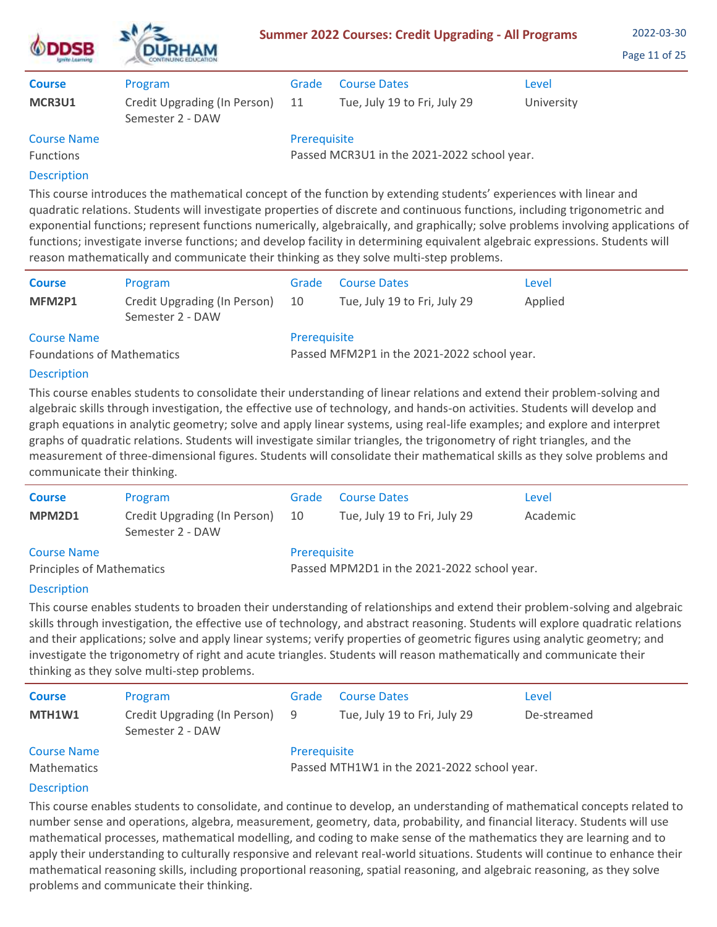| <b>DSB</b>                             | <b>DURHAM</b>                                               | <b>Summer 2022 Courses: Credit Upgrading - All Programs</b> |                                                     |                     | 2022-03-30<br>Page 11 of 25 |
|----------------------------------------|-------------------------------------------------------------|-------------------------------------------------------------|-----------------------------------------------------|---------------------|-----------------------------|
| <b>Course</b><br>MCR3U1                | Program<br>Credit Upgrading (In Person)<br>Semester 2 - DAW | Grade<br>11                                                 | <b>Course Dates</b><br>Tue, July 19 to Fri, July 29 | Level<br>University |                             |
| <b>Course Name</b><br><b>Functions</b> |                                                             | Prerequisite                                                | Passed MCR3U1 in the 2021-2022 school year.         |                     |                             |

This course introduces the mathematical concept of the function by extending students' experiences with linear and quadratic relations. Students will investigate properties of discrete and continuous functions, including trigonometric and exponential functions; represent functions numerically, algebraically, and graphically; solve problems involving applications of functions; investigate inverse functions; and develop facility in determining equivalent algebraic expressions. Students will reason mathematically and communicate their thinking as they solve multi-step problems.

| <b>Course</b>                                           | Program                                          | Grade                                                       | <b>Course Dates</b>          | Level   |  |  |
|---------------------------------------------------------|--------------------------------------------------|-------------------------------------------------------------|------------------------------|---------|--|--|
| MFM2P1                                                  | Credit Upgrading (In Person)<br>Semester 2 - DAW | -10                                                         | Tue, July 19 to Fri, July 29 | Applied |  |  |
| <b>Course Name</b><br><b>Foundations of Mathematics</b> |                                                  | Prerequisite<br>Passed MFM2P1 in the 2021-2022 school year. |                              |         |  |  |

### Description

This course enables students to consolidate their understanding of linear relations and extend their problem-solving and algebraic skills through investigation, the effective use of technology, and hands-on activities. Students will develop and graph equations in analytic geometry; solve and apply linear systems, using real-life examples; and explore and interpret graphs of quadratic relations. Students will investigate similar triangles, the trigonometry of right triangles, and the measurement of three-dimensional figures. Students will consolidate their mathematical skills as they solve problems and communicate their thinking.

| <b>Course</b>                    | Program                                          | Grade                                       | <b>Course Dates</b>          | Level    |  |
|----------------------------------|--------------------------------------------------|---------------------------------------------|------------------------------|----------|--|
| MPM2D1                           | Credit Upgrading (In Person)<br>Semester 2 - DAW | 10                                          | Tue, July 19 to Fri, July 29 | Academic |  |
| <b>Course Name</b>               |                                                  | Prerequisite                                |                              |          |  |
| <b>Principles of Mathematics</b> |                                                  | Passed MPM2D1 in the 2021-2022 school year. |                              |          |  |

#### **Description**

This course enables students to broaden their understanding of relationships and extend their problem-solving and algebraic skills through investigation, the effective use of technology, and abstract reasoning. Students will explore quadratic relations and their applications; solve and apply linear systems; verify properties of geometric figures using analytic geometry; and investigate the trigonometry of right and acute triangles. Students will reason mathematically and communicate their thinking as they solve multi-step problems.

| <b>Course</b>                     | Program                                            | Grade        | <b>Course Dates</b>                         | Level       |
|-----------------------------------|----------------------------------------------------|--------------|---------------------------------------------|-------------|
| MTH1W1                            | Credit Upgrading (In Person) 9<br>Semester 2 - DAW |              | Tue, July 19 to Fri, July 29                | De-streamed |
| <b>Course Name</b><br>Mathematics |                                                    | Prerequisite | Passed MTH1W1 in the 2021-2022 school year. |             |

## **Description**

This course enables students to consolidate, and continue to develop, an understanding of mathematical concepts related to number sense and operations, algebra, measurement, geometry, data, probability, and financial literacy. Students will use mathematical processes, mathematical modelling, and coding to make sense of the mathematics they are learning and to apply their understanding to culturally responsive and relevant real-world situations. Students will continue to enhance their mathematical reasoning skills, including proportional reasoning, spatial reasoning, and algebraic reasoning, as they solve problems and communicate their thinking.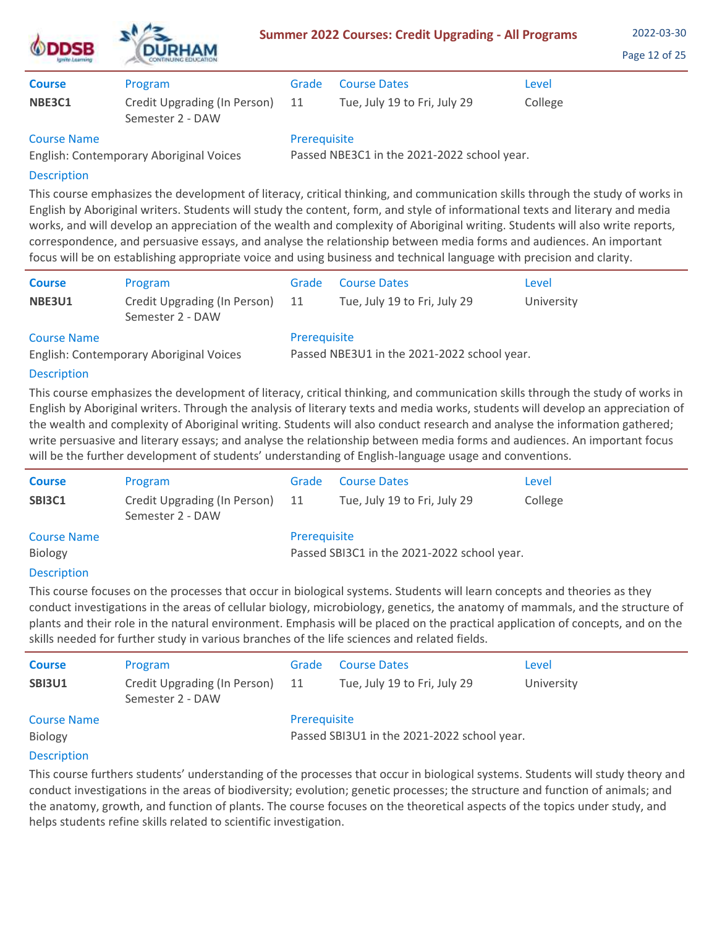| <b>ODDSB</b>  | <b>DURHAM</b>                                    | <b>Summer 2022 Courses: Credit Upgrading - All Programs</b> | 2022-03-30<br>Page 12 of 25  |         |  |
|---------------|--------------------------------------------------|-------------------------------------------------------------|------------------------------|---------|--|
| <b>Course</b> | Program                                          | Grade                                                       | <b>Course Dates</b>          | Level   |  |
| NBE3C1        | Credit Upgrading (In Person)<br>Semester 2 - DAW | 11                                                          | Tue, July 19 to Fri, July 29 | College |  |
| Course Name   |                                                  | <b>Prerequisite</b>                                         |                              |         |  |

Course Name

English: Contemporary Aboriginal Voices

Prerequisite

Passed NBE3C1 in the 2021-2022 school year.

# Description

This course emphasizes the development of literacy, critical thinking, and communication skills through the study of works in English by Aboriginal writers. Students will study the content, form, and style of informational texts and literary and media works, and will develop an appreciation of the wealth and complexity of Aboriginal writing. Students will also write reports, correspondence, and persuasive essays, and analyse the relationship between media forms and audiences. An important focus will be on establishing appropriate voice and using business and technical language with precision and clarity.

| <b>Course</b>                                                 | Program                                          | Grade                                                       | <b>Course Dates</b>          | Level      |  |  |
|---------------------------------------------------------------|--------------------------------------------------|-------------------------------------------------------------|------------------------------|------------|--|--|
| <b>NBE3U1</b>                                                 | Credit Upgrading (In Person)<br>Semester 2 - DAW | -11                                                         | Tue, July 19 to Fri, July 29 | University |  |  |
| <b>Course Name</b><br>English: Contemporary Aboriginal Voices |                                                  | Prerequisite<br>Passed NBE3U1 in the 2021-2022 school year. |                              |            |  |  |

# **Description**

This course emphasizes the development of literacy, critical thinking, and communication skills through the study of works in English by Aboriginal writers. Through the analysis of literary texts and media works, students will develop an appreciation of the wealth and complexity of Aboriginal writing. Students will also conduct research and analyse the information gathered; write persuasive and literary essays; and analyse the relationship between media forms and audiences. An important focus will be the further development of students' understanding of English-language usage and conventions.

| <b>Course</b>      | Program                                          | Grade                                       | <b>Course Dates</b>          | Level   |
|--------------------|--------------------------------------------------|---------------------------------------------|------------------------------|---------|
| <b>SBI3C1</b>      | Credit Upgrading (In Person)<br>Semester 2 - DAW | 11                                          | Tue, July 19 to Fri, July 29 | College |
| <b>Course Name</b> |                                                  | Prerequisite                                |                              |         |
| Biology            |                                                  | Passed SBI3C1 in the 2021-2022 school year. |                              |         |

## **Description**

This course focuses on the processes that occur in biological systems. Students will learn concepts and theories as they conduct investigations in the areas of cellular biology, microbiology, genetics, the anatomy of mammals, and the structure of plants and their role in the natural environment. Emphasis will be placed on the practical application of concepts, and on the skills needed for further study in various branches of the life sciences and related fields.

| <b>Course</b>                  | Program                                          | Grade               | <b>Course Dates</b>                         | Level      |
|--------------------------------|--------------------------------------------------|---------------------|---------------------------------------------|------------|
| <b>SBI3U1</b>                  | Credit Upgrading (In Person)<br>Semester 2 - DAW | 11                  | Tue, July 19 to Fri, July 29                | University |
| <b>Course Name</b>             |                                                  | <b>Prerequisite</b> |                                             |            |
| <b>Biology</b>                 |                                                  |                     | Passed SBI3U1 in the 2021-2022 school year. |            |
| The company of the first state |                                                  |                     |                                             |            |

## **Description**

This course furthers students' understanding of the processes that occur in biological systems. Students will study theory and conduct investigations in the areas of biodiversity; evolution; genetic processes; the structure and function of animals; and the anatomy, growth, and function of plants. The course focuses on the theoretical aspects of the topics under study, and helps students refine skills related to scientific investigation.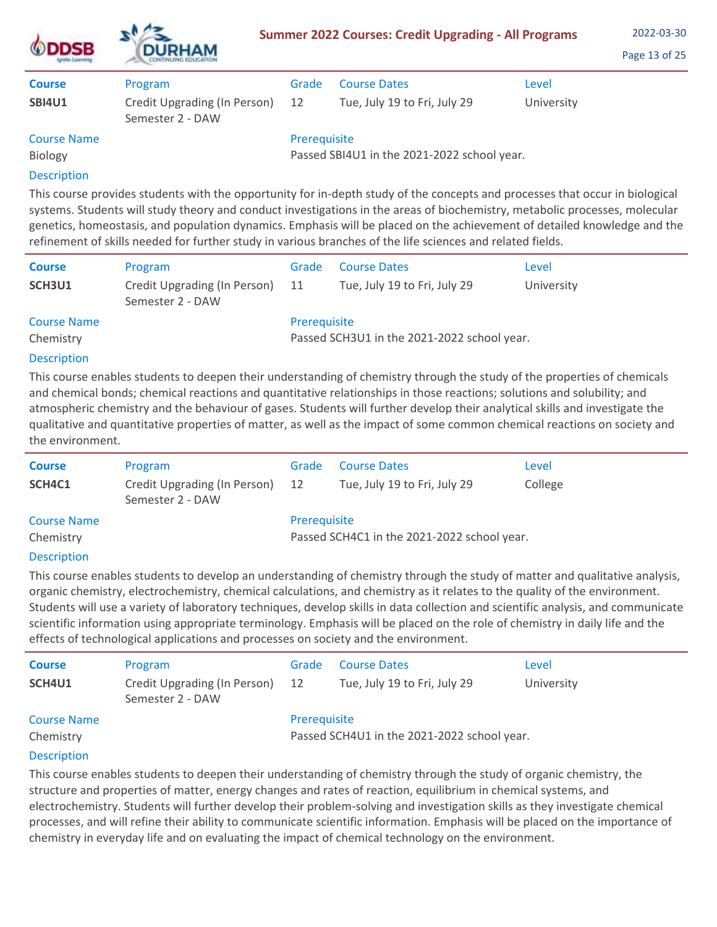| <b>DSB</b><br><b>ISTUTO LEATERS</b> | <b>DURHAM</b>                                    | <b>Summer 2022 Courses: Credit Upgrading - All Programs</b> | 2022-03-30<br>Page 13 of 25                 |            |  |
|-------------------------------------|--------------------------------------------------|-------------------------------------------------------------|---------------------------------------------|------------|--|
| <b>Course</b>                       | Program                                          | Grade                                                       | <b>Course Dates</b>                         | Level      |  |
| <b>SBI4U1</b>                       | Credit Upgrading (In Person)<br>Semester 2 - DAW | 12                                                          | Tue, July 19 to Fri, July 29                | University |  |
| <b>Course Name</b>                  |                                                  | Prerequisite                                                |                                             |            |  |
| Biology                             |                                                  |                                                             | Passed SBI4U1 in the 2021-2022 school year. |            |  |
| <b>Doccription</b>                  |                                                  |                                                             |                                             |            |  |

This course provides students with the opportunity for in-depth study of the concepts and processes that occur in biological systems. Students will study theory and conduct investigations in the areas of biochemistry, metabolic processes, molecular genetics, homeostasis, and population dynamics. Emphasis will be placed on the achievement of detailed knowledge and the refinement of skills needed for further study in various branches of the life sciences and related fields.

| <b>Course</b><br>SCH3U1 | Program<br>Credit Upgrading (In Person) | Grade<br>11                                 | <b>Course Dates</b><br>Tue, July 19 to Fri, July 29 | Level<br>University |  |  |
|-------------------------|-----------------------------------------|---------------------------------------------|-----------------------------------------------------|---------------------|--|--|
|                         | Semester 2 - DAW                        |                                             |                                                     |                     |  |  |
| <b>Course Name</b>      |                                         | Prerequisite                                |                                                     |                     |  |  |
| Chemistry               |                                         | Passed SCH3U1 in the 2021-2022 school year. |                                                     |                     |  |  |
|                         |                                         |                                             |                                                     |                     |  |  |

# **Description**

This course enables students to deepen their understanding of chemistry through the study of the properties of chemicals and chemical bonds; chemical reactions and quantitative relationships in those reactions; solutions and solubility; and atmospheric chemistry and the behaviour of gases. Students will further develop their analytical skills and investigate the qualitative and quantitative properties of matter, as well as the impact of some common chemical reactions on society and the environment.

| <b>Course</b><br>SCH4C1         | Program<br>Credit Upgrading (In Person)<br>Semester 2 - DAW | Grade<br>12 | <b>Course Dates</b><br>Tue, July 19 to Fri, July 29         | Level<br>College |  |  |
|---------------------------------|-------------------------------------------------------------|-------------|-------------------------------------------------------------|------------------|--|--|
| <b>Course Name</b><br>Chemistry |                                                             |             | Prerequisite<br>Passed SCH4C1 in the 2021-2022 school year. |                  |  |  |
|                                 |                                                             |             |                                                             |                  |  |  |

## Description

This course enables students to develop an understanding of chemistry through the study of matter and qualitative analysis, organic chemistry, electrochemistry, chemical calculations, and chemistry as it relates to the quality of the environment. Students will use a variety of laboratory techniques, develop skills in data collection and scientific analysis, and communicate scientific information using appropriate terminology. Emphasis will be placed on the role of chemistry in daily life and the effects of technological applications and processes on society and the environment.

| <b>Course</b>      | Program                                          | Grade        | <b>Course Dates</b>                         | Level      |
|--------------------|--------------------------------------------------|--------------|---------------------------------------------|------------|
| SCH4U1             | Credit Upgrading (In Person)<br>Semester 2 - DAW | 12           | Tue, July 19 to Fri, July 29                | University |
| <b>Course Name</b> |                                                  | Prerequisite |                                             |            |
| Chemistry          |                                                  |              | Passed SCH4U1 in the 2021-2022 school year. |            |
| <b>Decerintion</b> |                                                  |              |                                             |            |

## **Description**

This course enables students to deepen their understanding of chemistry through the study of organic chemistry, the structure and properties of matter, energy changes and rates of reaction, equilibrium in chemical systems, and electrochemistry. Students will further develop their problem-solving and investigation skills as they investigate chemical processes, and will refine their ability to communicate scientific information. Emphasis will be placed on the importance of chemistry in everyday life and on evaluating the impact of chemical technology on the environment.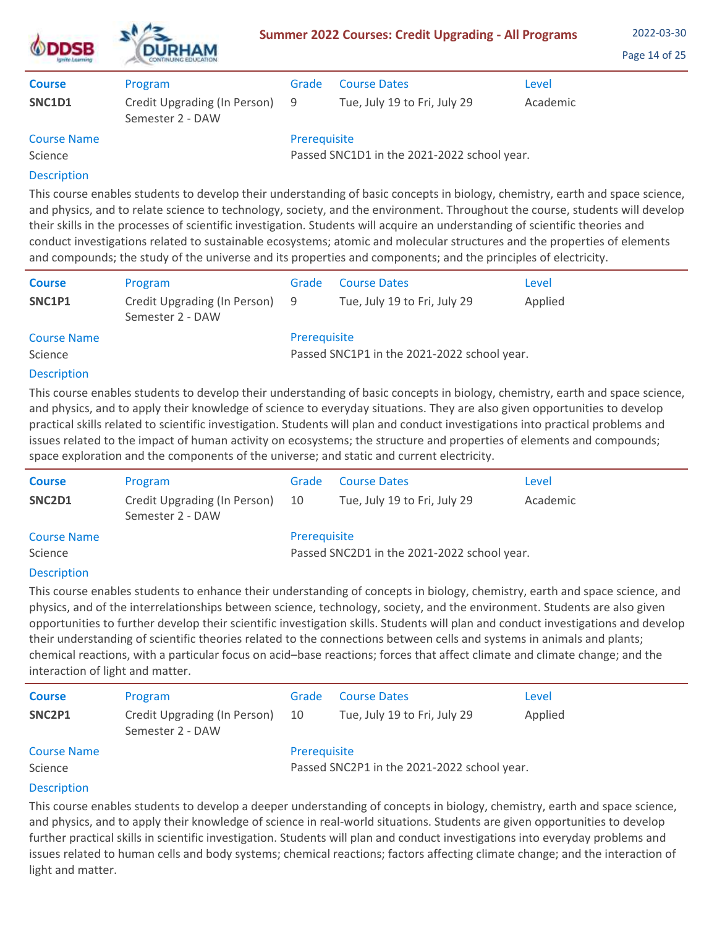| DSB                           | <b>DURHAM</b>                                    | <b>Summer 2022 Courses: Credit Upgrading - All Programs</b> | 2022-03-30<br>Page 14 of 25                 |          |  |
|-------------------------------|--------------------------------------------------|-------------------------------------------------------------|---------------------------------------------|----------|--|
| <b>Course</b>                 | Program                                          | Grade                                                       | <b>Course Dates</b>                         | Level    |  |
| SNC1D1                        | Credit Upgrading (In Person)<br>Semester 2 - DAW | 9                                                           | Tue, July 19 to Fri, July 29                | Academic |  |
| <b>Course Name</b><br>Science |                                                  | Prerequisite                                                | Passed SNC1D1 in the 2021-2022 school year. |          |  |
| <b>Description</b>            |                                                  |                                                             |                                             |          |  |

This course enables students to develop their understanding of basic concepts in biology, chemistry, earth and space science, and physics, and to relate science to technology, society, and the environment. Throughout the course, students will develop their skills in the processes of scientific investigation. Students will acquire an understanding of scientific theories and conduct investigations related to sustainable ecosystems; atomic and molecular structures and the properties of elements and compounds; the study of the universe and its properties and components; and the principles of electricity.

| <b>Course</b>      | Program                                          | Grade        | <b>Course Dates</b>                                                                                                                                                                                                                                                                                                                                                                                                                                                                                                    | Level   |
|--------------------|--------------------------------------------------|--------------|------------------------------------------------------------------------------------------------------------------------------------------------------------------------------------------------------------------------------------------------------------------------------------------------------------------------------------------------------------------------------------------------------------------------------------------------------------------------------------------------------------------------|---------|
| SNC1P1             | Credit Upgrading (In Person)<br>Semester 2 - DAW | 9            | Tue, July 19 to Fri, July 29                                                                                                                                                                                                                                                                                                                                                                                                                                                                                           | Applied |
| <b>Course Name</b> |                                                  | Prerequisite |                                                                                                                                                                                                                                                                                                                                                                                                                                                                                                                        |         |
| Science            |                                                  |              | Passed SNC1P1 in the 2021-2022 school year.                                                                                                                                                                                                                                                                                                                                                                                                                                                                            |         |
| <b>Description</b> |                                                  |              |                                                                                                                                                                                                                                                                                                                                                                                                                                                                                                                        |         |
|                    |                                                  |              | This course enables students to develop their understanding of basic concepts in biology, chemistry, earth and space science,<br>and physics, and to apply their knowledge of science to everyday situations. They are also given opportunities to develop<br>practical skills related to scientific investigation. Students will plan and conduct investigations into practical problems and<br>issues related to the impact of human activity on ecosystems; the structure and properties of elements and compounds; |         |

space exploration and the components of the universe; and static and current electricity.

| <b>Course</b>      | Program                                          | Grade        | <b>Course Dates</b>                         | Level    |
|--------------------|--------------------------------------------------|--------------|---------------------------------------------|----------|
| SNC2D1             | Credit Upgrading (In Person)<br>Semester 2 - DAW | -10          | Tue, July 19 to Fri, July 29                | Academic |
| <b>Course Name</b> |                                                  | Prerequisite |                                             |          |
| Science            |                                                  |              | Passed SNC2D1 in the 2021-2022 school year. |          |

# Description

This course enables students to enhance their understanding of concepts in biology, chemistry, earth and space science, and physics, and of the interrelationships between science, technology, society, and the environment. Students are also given opportunities to further develop their scientific investigation skills. Students will plan and conduct investigations and develop their understanding of scientific theories related to the connections between cells and systems in animals and plants; chemical reactions, with a particular focus on acid–base reactions; forces that affect climate and climate change; and the interaction of light and matter.

| <b>Course</b><br>SNC2P1       | Program<br>Credit Upgrading (In Person)<br>Semester 2 - DAW | Grade<br>10  | <b>Course Dates</b><br>Tue, July 19 to Fri, July 29 | Level<br>Applied |
|-------------------------------|-------------------------------------------------------------|--------------|-----------------------------------------------------|------------------|
| <b>Course Name</b>            |                                                             | Prerequisite |                                                     |                  |
| Science<br><b>Description</b> |                                                             |              | Passed SNC2P1 in the 2021-2022 school year.         |                  |

Description

This course enables students to develop a deeper understanding of concepts in biology, chemistry, earth and space science, and physics, and to apply their knowledge of science in real-world situations. Students are given opportunities to develop further practical skills in scientific investigation. Students will plan and conduct investigations into everyday problems and issues related to human cells and body systems; chemical reactions; factors affecting climate change; and the interaction of light and matter.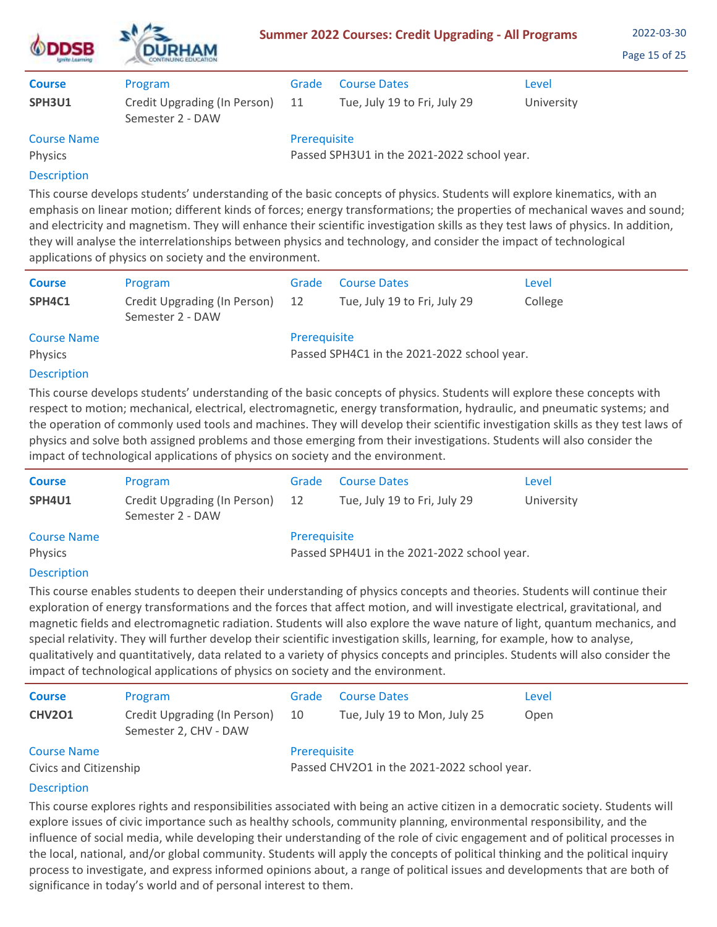| <b>DSB</b><br><b>SHIP LANTING</b> | <b>DURHAM</b>                                    |              | <b>Summer 2022 Courses: Credit Upgrading - All Programs</b> |            | 2022-03-30<br>Page 15 of 25 |
|-----------------------------------|--------------------------------------------------|--------------|-------------------------------------------------------------|------------|-----------------------------|
| <b>Course</b>                     | Program                                          | Grade        | <b>Course Dates</b>                                         | Level      |                             |
| SPH3U1                            | Credit Upgrading (In Person)<br>Semester 2 - DAW | 11           | Tue, July 19 to Fri, July 29                                | University |                             |
| <b>Course Name</b><br>Physics     |                                                  | Prerequisite | Passed SPH3U1 in the 2021-2022 school year.                 |            |                             |
| <b>Decerintion</b>                |                                                  |              |                                                             |            |                             |

This course develops students' understanding of the basic concepts of physics. Students will explore kinematics, with an emphasis on linear motion; different kinds of forces; energy transformations; the properties of mechanical waves and sound; and electricity and magnetism. They will enhance their scientific investigation skills as they test laws of physics. In addition, they will analyse the interrelationships between physics and technology, and consider the impact of technological applications of physics on society and the environment.

| <b>Course</b>      | Program                                          | Grade        | <b>Course Dates</b>                         | Level   |
|--------------------|--------------------------------------------------|--------------|---------------------------------------------|---------|
| SPH4C1             | Credit Upgrading (In Person)<br>Semester 2 - DAW | -12          | Tue, July 19 to Fri, July 29                | College |
| <b>Course Name</b> |                                                  | Prerequisite |                                             |         |
| <b>Physics</b>     |                                                  |              | Passed SPH4C1 in the 2021-2022 school year. |         |
| <b>Description</b> |                                                  |              |                                             |         |

## Description

This course develops students' understanding of the basic concepts of physics. Students will explore these concepts with respect to motion; mechanical, electrical, electromagnetic, energy transformation, hydraulic, and pneumatic systems; and the operation of commonly used tools and machines. They will develop their scientific investigation skills as they test laws of physics and solve both assigned problems and those emerging from their investigations. Students will also consider the impact of technological applications of physics on society and the environment.

| <b>Course</b>      | Program                                          | Grade        | <b>Course Dates</b>                         | Level      |
|--------------------|--------------------------------------------------|--------------|---------------------------------------------|------------|
| SPH4U1             | Credit Upgrading (In Person)<br>Semester 2 - DAW | 12           | Tue, July 19 to Fri, July 29                | University |
| <b>Course Name</b> |                                                  | Prerequisite |                                             |            |
| Physics            |                                                  |              | Passed SPH4U1 in the 2021-2022 school year. |            |

## Description

This course enables students to deepen their understanding of physics concepts and theories. Students will continue their exploration of energy transformations and the forces that affect motion, and will investigate electrical, gravitational, and magnetic fields and electromagnetic radiation. Students will also explore the wave nature of light, quantum mechanics, and special relativity. They will further develop their scientific investigation skills, learning, for example, how to analyse, qualitatively and quantitatively, data related to a variety of physics concepts and principles. Students will also consider the impact of technological applications of physics on society and the environment.

| <b>Course</b>                                | Program                                                     | Grade | <b>Course Dates</b>          | Level |
|----------------------------------------------|-------------------------------------------------------------|-------|------------------------------|-------|
| <b>CHV201</b>                                | Credit Upgrading (In Person)<br>Semester 2, CHV - DAW       | 10    | Tue, July 19 to Mon, July 25 | Open  |
| <b>Course Name</b><br>Civics and Citizenship | Prerequisite<br>Passed CHV2O1 in the 2021-2022 school year. |       |                              |       |
|                                              |                                                             |       |                              |       |

# **Description**

This course explores rights and responsibilities associated with being an active citizen in a democratic society. Students will explore issues of civic importance such as healthy schools, community planning, environmental responsibility, and the influence of social media, while developing their understanding of the role of civic engagement and of political processes in the local, national, and/or global community. Students will apply the concepts of political thinking and the political inquiry process to investigate, and express informed opinions about, a range of political issues and developments that are both of significance in today's world and of personal interest to them.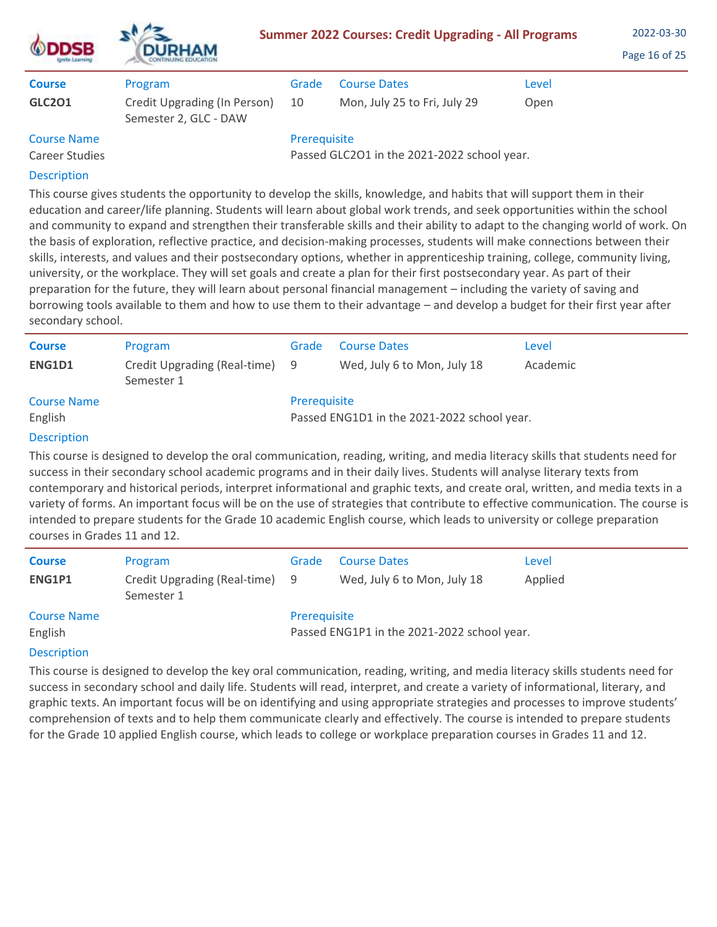| SB                                   | <b>DURHAM</b>                                         |              | <b>Summer 2022 Courses: Credit Upgrading - All Programs</b> |       | 2022-03-30<br>Page 16 of 25 |
|--------------------------------------|-------------------------------------------------------|--------------|-------------------------------------------------------------|-------|-----------------------------|
| <b>Course</b>                        | Program                                               | Grade        | <b>Course Dates</b>                                         | Level |                             |
| <b>GLC201</b>                        | Credit Upgrading (In Person)<br>Semester 2, GLC - DAW | 10           | Mon, July 25 to Fri, July 29                                | Open  |                             |
| <b>Course Name</b><br>Career Studies |                                                       | Prerequisite | Passed GLC2O1 in the 2021-2022 school year.                 |       |                             |
| _______                              |                                                       |              |                                                             |       |                             |

This course gives students the opportunity to develop the skills, knowledge, and habits that will support them in their education and career/life planning. Students will learn about global work trends, and seek opportunities within the school and community to expand and strengthen their transferable skills and their ability to adapt to the changing world of work. On the basis of exploration, reflective practice, and decision-making processes, students will make connections between their skills, interests, and values and their postsecondary options, whether in apprenticeship training, college, community living, university, or the workplace. They will set goals and create a plan for their first postsecondary year. As part of their preparation for the future, they will learn about personal financial management – including the variety of saving and borrowing tools available to them and how to use them to their advantage – and develop a budget for their first year after secondary school.

| <b>Course</b>      | Program                                      | Grade        | <b>Course Dates</b>                         | Level    |
|--------------------|----------------------------------------------|--------------|---------------------------------------------|----------|
| ENG1D1             | Credit Upgrading (Real-time) 9<br>Semester 1 |              | Wed, July 6 to Mon, July 18                 | Academic |
| <b>Course Name</b> |                                              | Prerequisite |                                             |          |
| English            |                                              |              | Passed ENG1D1 in the 2021-2022 school year. |          |
| <b>Description</b> |                                              |              |                                             |          |

# Description

This course is designed to develop the oral communication, reading, writing, and media literacy skills that students need for success in their secondary school academic programs and in their daily lives. Students will analyse literary texts from contemporary and historical periods, interpret informational and graphic texts, and create oral, written, and media texts in a variety of forms. An important focus will be on the use of strategies that contribute to effective communication. The course is intended to prepare students for the Grade 10 academic English course, which leads to university or college preparation courses in Grades 11 and 12.

| <b>Course</b>      | Program                                      | Grade        | <b>Course Dates</b>                         | Level   |
|--------------------|----------------------------------------------|--------------|---------------------------------------------|---------|
| ENG1P1             | Credit Upgrading (Real-time) 9<br>Semester 1 |              | Wed, July 6 to Mon, July 18                 | Applied |
| <b>Course Name</b> |                                              | Prerequisite |                                             |         |
| English            |                                              |              | Passed ENG1P1 in the 2021-2022 school year. |         |
| <b>Description</b> |                                              |              |                                             |         |

This course is designed to develop the key oral communication, reading, writing, and media literacy skills students need for success in secondary school and daily life. Students will read, interpret, and create a variety of informational, literary, and graphic texts. An important focus will be on identifying and using appropriate strategies and processes to improve students' comprehension of texts and to help them communicate clearly and effectively. The course is intended to prepare students for the Grade 10 applied English course, which leads to college or workplace preparation courses in Grades 11 and 12.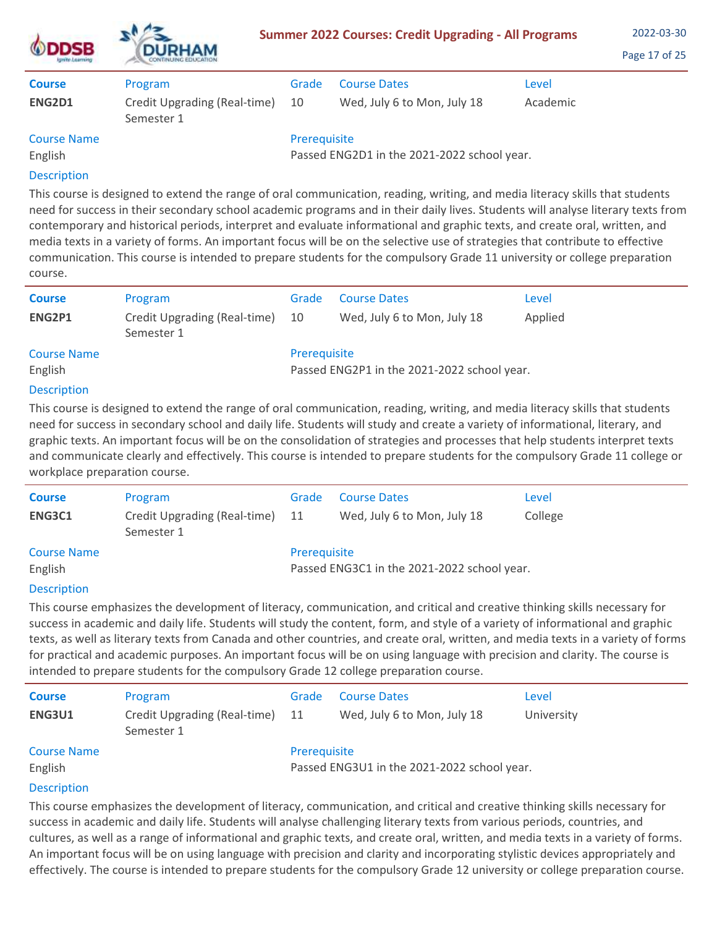| <b>ODDSB</b><br>Ignite Learning | <b>DURHAM</b>                              |              | <b>Summer 2022 Courses: Credit Upgrading - All Programs</b> |          | 2022-03-30<br>Page 17 of 25 |
|---------------------------------|--------------------------------------------|--------------|-------------------------------------------------------------|----------|-----------------------------|
| <b>Course</b>                   | Program                                    | Grade        | <b>Course Dates</b>                                         | Level    |                             |
| ENG2D1                          | Credit Upgrading (Real-time)<br>Semester 1 | 10           | Wed, July 6 to Mon, July 18                                 | Academic |                             |
| <b>Course Name</b>              |                                            | Prerequisite |                                                             |          |                             |
| English                         |                                            |              | Passed ENG2D1 in the 2021-2022 school year.                 |          |                             |
| <b>Description</b>              |                                            |              |                                                             |          |                             |

This course is designed to extend the range of oral communication, reading, writing, and media literacy skills that students need for success in their secondary school academic programs and in their daily lives. Students will analyse literary texts from contemporary and historical periods, interpret and evaluate informational and graphic texts, and create oral, written, and media texts in a variety of forms. An important focus will be on the selective use of strategies that contribute to effective communication. This course is intended to prepare students for the compulsory Grade 11 university or college preparation course.

| <b>Course</b>      | Program                                    | Grade        | <b>Course Dates</b>                         | Level   |
|--------------------|--------------------------------------------|--------------|---------------------------------------------|---------|
| ENG2P1             | Credit Upgrading (Real-time)<br>Semester 1 | -10          | Wed, July 6 to Mon, July 18                 | Applied |
| <b>Course Name</b> |                                            | Prerequisite |                                             |         |
| English            |                                            |              | Passed ENG2P1 in the 2021-2022 school year. |         |
| <b>Decription</b>  |                                            |              |                                             |         |

# **Description**

This course is designed to extend the range of oral communication, reading, writing, and media literacy skills that students need for success in secondary school and daily life. Students will study and create a variety of informational, literary, and graphic texts. An important focus will be on the consolidation of strategies and processes that help students interpret texts and communicate clearly and effectively. This course is intended to prepare students for the compulsory Grade 11 college or workplace preparation course.

| <b>Course</b>      | Program                                    | Grade                                       | <b>Course Dates</b>         | Level   |
|--------------------|--------------------------------------------|---------------------------------------------|-----------------------------|---------|
| ENG3C1             | Credit Upgrading (Real-time)<br>Semester 1 | -11                                         | Wed, July 6 to Mon, July 18 | College |
| <b>Course Name</b> |                                            | Prerequisite                                |                             |         |
| English            |                                            | Passed ENG3C1 in the 2021-2022 school year. |                             |         |
| Desemberten        |                                            |                                             |                             |         |

## **Description**

This course emphasizes the development of literacy, communication, and critical and creative thinking skills necessary for success in academic and daily life. Students will study the content, form, and style of a variety of informational and graphic texts, as well as literary texts from Canada and other countries, and create oral, written, and media texts in a variety of forms for practical and academic purposes. An important focus will be on using language with precision and clarity. The course is intended to prepare students for the compulsory Grade 12 college preparation course.

| <b>Course</b>      | Program                                    | Grade        | <b>Course Dates</b>                         | Level      |
|--------------------|--------------------------------------------|--------------|---------------------------------------------|------------|
| ENG3U1             | Credit Upgrading (Real-time)<br>Semester 1 | -11          | Wed, July 6 to Mon, July 18                 | University |
| <b>Course Name</b> |                                            | Prerequisite |                                             |            |
| English            |                                            |              | Passed ENG3U1 in the 2021-2022 school year. |            |
| <b>Description</b> |                                            |              |                                             |            |

This course emphasizes the development of literacy, communication, and critical and creative thinking skills necessary for success in academic and daily life. Students will analyse challenging literary texts from various periods, countries, and cultures, as well as a range of informational and graphic texts, and create oral, written, and media texts in a variety of forms. An important focus will be on using language with precision and clarity and incorporating stylistic devices appropriately and effectively. The course is intended to prepare students for the compulsory Grade 12 university or college preparation course.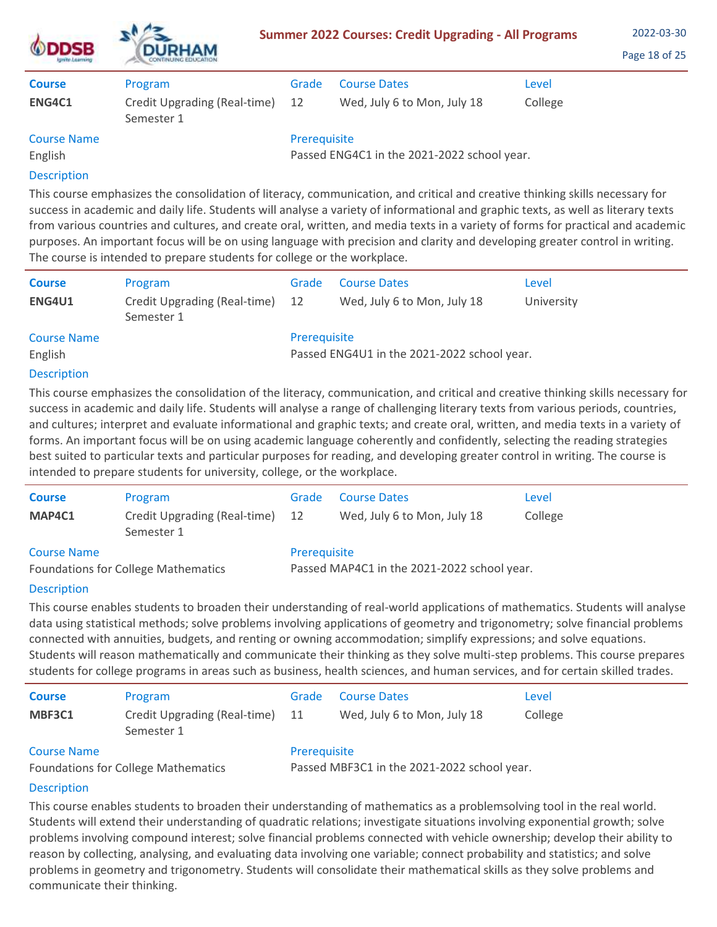| <b>DSB</b><br><b>Ignite Learning</b> | <b>DURHAM</b>                              |              | <b>Summer 2022 Courses: Credit Upgrading - All Programs</b> |         | 2022-03-30<br>Page 18 of 25 |
|--------------------------------------|--------------------------------------------|--------------|-------------------------------------------------------------|---------|-----------------------------|
| <b>Course</b>                        | Program                                    | Grade        | <b>Course Dates</b>                                         | Level   |                             |
| ENG4C1                               | Credit Upgrading (Real-time)<br>Semester 1 | 12           | Wed, July 6 to Mon, July 18                                 | College |                             |
| <b>Course Name</b>                   |                                            | Prerequisite |                                                             |         |                             |
| English                              |                                            |              | Passed ENG4C1 in the 2021-2022 school year.                 |         |                             |
| <b>Description</b>                   |                                            |              |                                                             |         |                             |

This course emphasizes the consolidation of literacy, communication, and critical and creative thinking skills necessary for

 $\mathbf{A}$ 

success in academic and daily life. Students will analyse a variety of informational and graphic texts, as well as literary texts from various countries and cultures, and create oral, written, and media texts in a variety of forms for practical and academic purposes. An important focus will be on using language with precision and clarity and developing greater control in writing. The course is intended to prepare students for college or the workplace.

| <b>Course</b>      | Program                                       | Grade                                       | <b>Course Dates</b>         | Level      |  |
|--------------------|-----------------------------------------------|---------------------------------------------|-----------------------------|------------|--|
| <b>ENG4U1</b>      | Credit Upgrading (Real-time) 12<br>Semester 1 |                                             | Wed, July 6 to Mon, July 18 | University |  |
| <b>Course Name</b> |                                               | Prerequisite                                |                             |            |  |
| English            |                                               | Passed ENG4U1 in the 2021-2022 school year. |                             |            |  |
| <b>Description</b> |                                               |                                             |                             |            |  |

# Description

This course emphasizes the consolidation of the literacy, communication, and critical and creative thinking skills necessary for success in academic and daily life. Students will analyse a range of challenging literary texts from various periods, countries, and cultures; interpret and evaluate informational and graphic texts; and create oral, written, and media texts in a variety of forms. An important focus will be on using academic language coherently and confidently, selecting the reading strategies best suited to particular texts and particular purposes for reading, and developing greater control in writing. The course is intended to prepare students for university, college, or the workplace.

| <b>Course</b>                              | Program                                       | Grade                                       | <b>Course Dates</b>         | Level   |  |  |
|--------------------------------------------|-----------------------------------------------|---------------------------------------------|-----------------------------|---------|--|--|
| MAP4C1                                     | Credit Upgrading (Real-time) 12<br>Semester 1 |                                             | Wed, July 6 to Mon, July 18 | College |  |  |
| <b>Course Name</b>                         |                                               | Prerequisite                                |                             |         |  |  |
| <b>Foundations for College Mathematics</b> |                                               | Passed MAP4C1 in the 2021-2022 school year. |                             |         |  |  |

# **Description**

This course enables students to broaden their understanding of real-world applications of mathematics. Students will analyse data using statistical methods; solve problems involving applications of geometry and trigonometry; solve financial problems connected with annuities, budgets, and renting or owning accommodation; simplify expressions; and solve equations. Students will reason mathematically and communicate their thinking as they solve multi-step problems. This course prepares students for college programs in areas such as business, health sciences, and human services, and for certain skilled trades.

| <b>Course</b>                   | Program                                       | Grade        | <b>Course Dates</b>         | Level   |
|---------------------------------|-----------------------------------------------|--------------|-----------------------------|---------|
| MBF3C1                          | Credit Upgrading (Real-time) 11<br>Semester 1 |              | Wed, July 6 to Mon, July 18 | College |
| <b>Course Name</b><br>_________ |                                               | Prerequisite |                             |         |

Foundations for College Mathematics

Passed MBF3C1 in the 2021-2022 school year.

# **Description**

This course enables students to broaden their understanding of mathematics as a problemsolving tool in the real world. Students will extend their understanding of quadratic relations; investigate situations involving exponential growth; solve problems involving compound interest; solve financial problems connected with vehicle ownership; develop their ability to reason by collecting, analysing, and evaluating data involving one variable; connect probability and statistics; and solve problems in geometry and trigonometry. Students will consolidate their mathematical skills as they solve problems and communicate their thinking.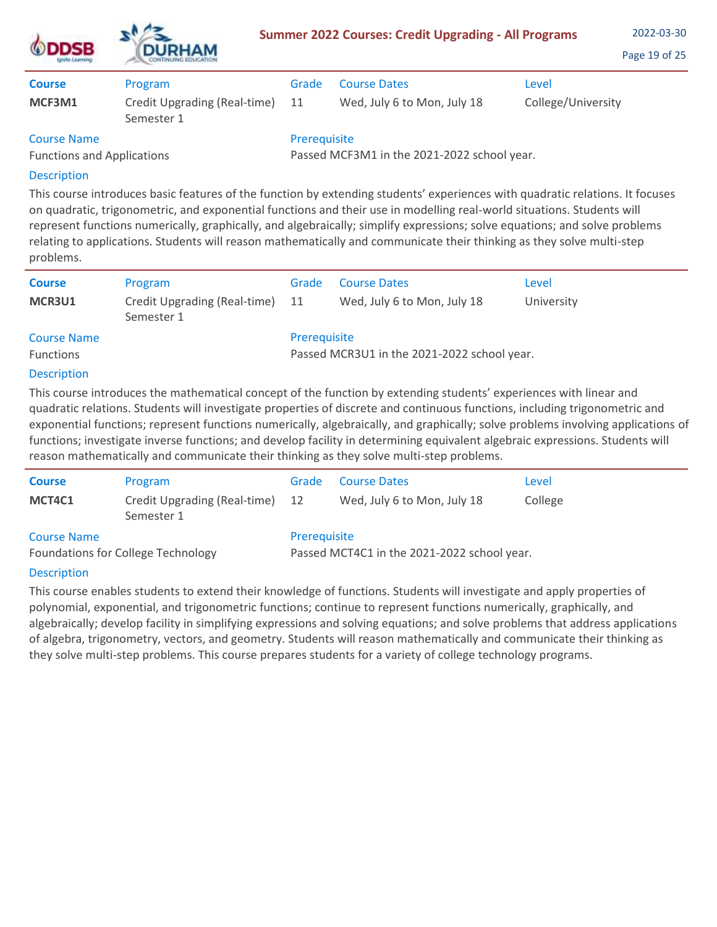| <b>ODDSB</b>                                            | <b>DURHAM</b><br>CONTINUING EDUCATION.     |              | <b>Summer 2022 Courses: Credit Upgrading - All Programs</b> |                    | 2022-03-30<br>Page 19 of 25 |
|---------------------------------------------------------|--------------------------------------------|--------------|-------------------------------------------------------------|--------------------|-----------------------------|
| <b>Course</b>                                           | Program                                    | Grade        | <b>Course Dates</b>                                         | Level              |                             |
| MCF3M1                                                  | Credit Upgrading (Real-time)<br>Semester 1 | 11           | Wed, July 6 to Mon, July 18                                 | College/University |                             |
| <b>Course Name</b><br><b>Functions and Applications</b> |                                            | Prerequisite | Passed MCF3M1 in the 2021-2022 school year.                 |                    |                             |

 $\mathbf{A}$ 

This course introduces basic features of the function by extending students' experiences with quadratic relations. It focuses on quadratic, trigonometric, and exponential functions and their use in modelling real-world situations. Students will represent functions numerically, graphically, and algebraically; simplify expressions; solve equations; and solve problems relating to applications. Students will reason mathematically and communicate their thinking as they solve multi-step problems.

| <b>Course</b><br>MCR3U1                | Program<br>Credit Upgrading (Real-time) 11<br>Semester 1 | Grade                                                       | <b>Course Dates</b><br>Wed, July 6 to Mon, July 18 | Level<br>University |
|----------------------------------------|----------------------------------------------------------|-------------------------------------------------------------|----------------------------------------------------|---------------------|
| <b>Course Name</b><br><b>Functions</b> |                                                          | Prerequisite<br>Passed MCR3U1 in the 2021-2022 school year. |                                                    |                     |

# Description

This course introduces the mathematical concept of the function by extending students' experiences with linear and quadratic relations. Students will investigate properties of discrete and continuous functions, including trigonometric and exponential functions; represent functions numerically, algebraically, and graphically; solve problems involving applications of functions; investigate inverse functions; and develop facility in determining equivalent algebraic expressions. Students will reason mathematically and communicate their thinking as they solve multi-step problems.

| <b>Course</b>                             | Program                                       | Grade                                       | <b>Course Dates</b>         | Level   |  |
|-------------------------------------------|-----------------------------------------------|---------------------------------------------|-----------------------------|---------|--|
| MCT4C1                                    | Credit Upgrading (Real-time) 12<br>Semester 1 |                                             | Wed, July 6 to Mon, July 18 | College |  |
| <b>Course Name</b>                        |                                               | Prerequisite                                |                             |         |  |
| <b>Foundations for College Technology</b> |                                               | Passed MCT4C1 in the 2021-2022 school year. |                             |         |  |

# Description

This course enables students to extend their knowledge of functions. Students will investigate and apply properties of polynomial, exponential, and trigonometric functions; continue to represent functions numerically, graphically, and algebraically; develop facility in simplifying expressions and solving equations; and solve problems that address applications of algebra, trigonometry, vectors, and geometry. Students will reason mathematically and communicate their thinking as they solve multi-step problems. This course prepares students for a variety of college technology programs.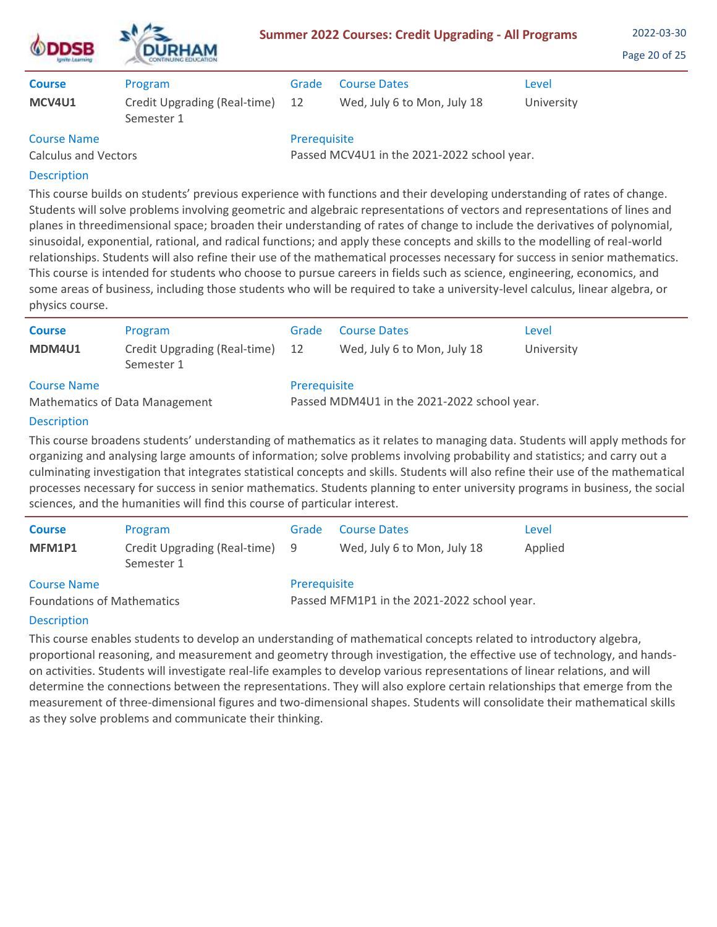| <b>ODDSB</b>                                      | <b>DURHAM</b><br><b>CONTINUING EDUCATION</b> | <b>Summer 2022 Courses: Credit Upgrading - All Programs</b> | 2022-03-30<br>Page 20 of 25 |            |  |
|---------------------------------------------------|----------------------------------------------|-------------------------------------------------------------|-----------------------------|------------|--|
| <b>Course</b>                                     | Program                                      | Grade                                                       | <b>Course Dates</b>         | Level      |  |
| MCV4U1                                            | Credit Upgrading (Real-time)<br>Semester 1   | 12                                                          | Wed, July 6 to Mon, July 18 | University |  |
| <b>Course Name</b><br><b>Calculus and Vectors</b> |                                              | Prerequisite<br>Passed MCV4U1 in the 2021-2022 school year. |                             |            |  |
| <b>Description</b>                                |                                              |                                                             |                             |            |  |

This course builds on students' previous experience with functions and their developing understanding of rates of change. Students will solve problems involving geometric and algebraic representations of vectors and representations of lines and planes in threedimensional space; broaden their understanding of rates of change to include the derivatives of polynomial, sinusoidal, exponential, rational, and radical functions; and apply these concepts and skills to the modelling of real-world relationships. Students will also refine their use of the mathematical processes necessary for success in senior mathematics. This course is intended for students who choose to pursue careers in fields such as science, engineering, economics, and some areas of business, including those students who will be required to take a university-level calculus, linear algebra, or physics course.

| <b>Course</b><br>MDM4U1        | Program<br>Credit Upgrading (Real-time)<br>Semester 1 | Grade<br>12                                 | <b>Course Dates</b><br>Wed, July 6 to Mon, July 18 | Level<br>University |  |
|--------------------------------|-------------------------------------------------------|---------------------------------------------|----------------------------------------------------|---------------------|--|
| <b>Course Name</b>             |                                                       | Prerequisite                                |                                                    |                     |  |
| Mathematics of Data Management |                                                       | Passed MDM4U1 in the 2021-2022 school year. |                                                    |                     |  |

# Description

This course broadens students' understanding of mathematics as it relates to managing data. Students will apply methods for organizing and analysing large amounts of information; solve problems involving probability and statistics; and carry out a culminating investigation that integrates statistical concepts and skills. Students will also refine their use of the mathematical processes necessary for success in senior mathematics. Students planning to enter university programs in business, the social sciences, and the humanities will find this course of particular interest.

| <b>Course</b>                                           | Program                                      | Grade                                                       | <b>Course Dates</b>         | Level   |  |
|---------------------------------------------------------|----------------------------------------------|-------------------------------------------------------------|-----------------------------|---------|--|
| MFM1P1                                                  | Credit Upgrading (Real-time) 9<br>Semester 1 |                                                             | Wed, July 6 to Mon, July 18 | Applied |  |
| <b>Course Name</b><br><b>Foundations of Mathematics</b> |                                              | Prerequisite<br>Passed MFM1P1 in the 2021-2022 school year. |                             |         |  |

# Description

This course enables students to develop an understanding of mathematical concepts related to introductory algebra, proportional reasoning, and measurement and geometry through investigation, the effective use of technology, and handson activities. Students will investigate real-life examples to develop various representations of linear relations, and will determine the connections between the representations. They will also explore certain relationships that emerge from the measurement of three-dimensional figures and two-dimensional shapes. Students will consolidate their mathematical skills as they solve problems and communicate their thinking.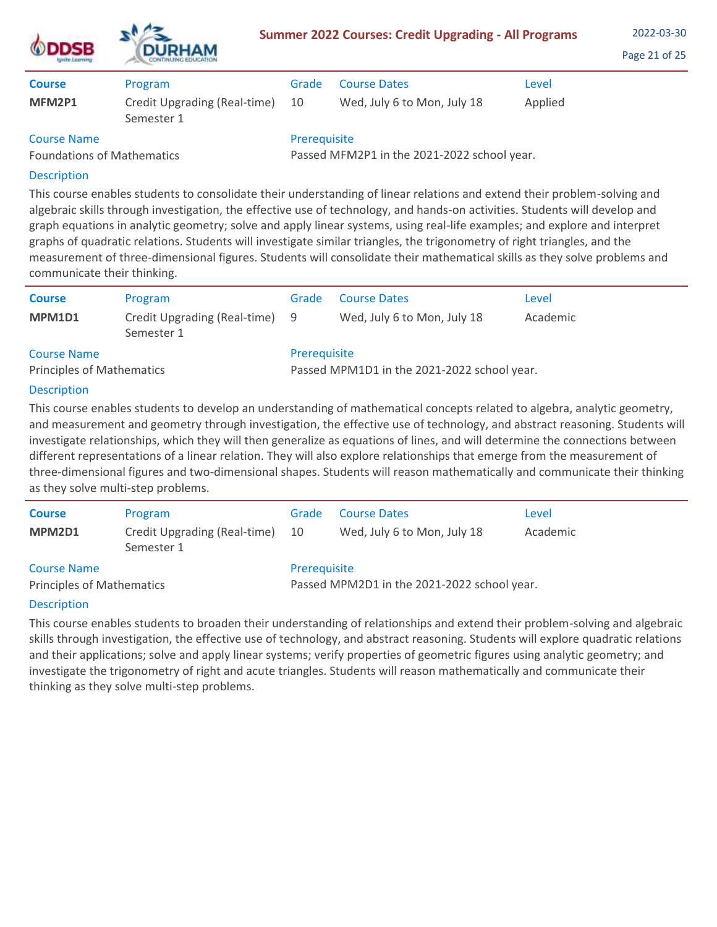| <b>ODDSB</b><br>Ignite Learning                         | <b>DURHAM</b><br>CONTINUING EDUCATION      |              | <b>Summer 2022 Courses: Credit Upgrading - All Programs</b> |         | 2022-03-30<br>Page 21 of 25 |
|---------------------------------------------------------|--------------------------------------------|--------------|-------------------------------------------------------------|---------|-----------------------------|
| <b>Course</b>                                           | Program                                    | Grade        | <b>Course Dates</b>                                         | Level   |                             |
| MFM2P1                                                  | Credit Upgrading (Real-time)<br>Semester 1 | 10           | Wed, July 6 to Mon, July 18                                 | Applied |                             |
| <b>Course Name</b><br><b>Foundations of Mathematics</b> |                                            | Prerequisite | Passed MFM2P1 in the 2021-2022 school year.                 |         |                             |

 $\lambda$ 

This course enables students to consolidate their understanding of linear relations and extend their problem-solving and algebraic skills through investigation, the effective use of technology, and hands-on activities. Students will develop and graph equations in analytic geometry; solve and apply linear systems, using real-life examples; and explore and interpret graphs of quadratic relations. Students will investigate similar triangles, the trigonometry of right triangles, and the measurement of three-dimensional figures. Students will consolidate their mathematical skills as they solve problems and communicate their thinking.

| <b>Course</b>                                          | Program                                      | Grade        | <b>Course Dates</b>                         | Level    |
|--------------------------------------------------------|----------------------------------------------|--------------|---------------------------------------------|----------|
| MPM1D1                                                 | Credit Upgrading (Real-time) 9<br>Semester 1 |              | Wed, July 6 to Mon, July 18                 | Academic |
| <b>Course Name</b><br><b>Principles of Mathematics</b> |                                              | Prerequisite | Passed MPM1D1 in the 2021-2022 school year. |          |

## Description

This course enables students to develop an understanding of mathematical concepts related to algebra, analytic geometry, and measurement and geometry through investigation, the effective use of technology, and abstract reasoning. Students will investigate relationships, which they will then generalize as equations of lines, and will determine the connections between different representations of a linear relation. They will also explore relationships that emerge from the measurement of three-dimensional figures and two-dimensional shapes. Students will reason mathematically and communicate their thinking as they solve multi-step problems.

| <b>Course</b><br>MPM2D1                                | Program<br>Credit Upgrading (Real-time)<br>Semester 1 | Grade<br>-10 | <b>Course Dates</b><br>Wed, July 6 to Mon, July 18 | Level<br>Academic |
|--------------------------------------------------------|-------------------------------------------------------|--------------|----------------------------------------------------|-------------------|
| <b>Course Name</b><br><b>Principles of Mathematics</b> |                                                       | Prerequisite | Passed MPM2D1 in the 2021-2022 school year.        |                   |

## **Description**

This course enables students to broaden their understanding of relationships and extend their problem-solving and algebraic skills through investigation, the effective use of technology, and abstract reasoning. Students will explore quadratic relations and their applications; solve and apply linear systems; verify properties of geometric figures using analytic geometry; and investigate the trigonometry of right and acute triangles. Students will reason mathematically and communicate their thinking as they solve multi-step problems.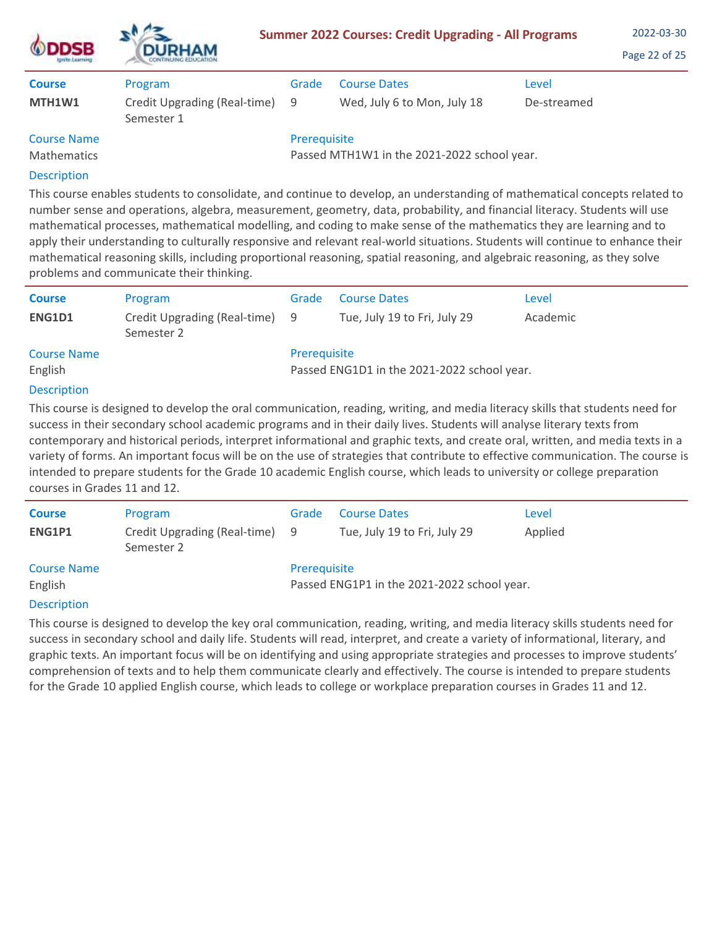| <b>DSB</b><br><b>STREET A SUPPRIEST</b> | <b>DURHAM</b>                                |              | <b>Summer 2022 Courses: Credit Upgrading - All Programs</b> |             | 2022-03-30<br>Page 22 of 25 |
|-----------------------------------------|----------------------------------------------|--------------|-------------------------------------------------------------|-------------|-----------------------------|
| <b>Course</b>                           | Program                                      | Grade        | <b>Course Dates</b>                                         | Level       |                             |
| MTH1W1                                  | Credit Upgrading (Real-time) 9<br>Semester 1 |              | Wed, July 6 to Mon, July 18                                 | De-streamed |                             |
| <b>Course Name</b>                      |                                              | Prerequisite |                                                             |             |                             |
| <b>Mathematics</b>                      |                                              |              | Passed MTH1W1 in the 2021-2022 school year.                 |             |                             |
| <b>Description</b>                      |                                              |              |                                                             |             |                             |

This course enables students to consolidate, and continue to develop, an understanding of mathematical concepts related to number sense and operations, algebra, measurement, geometry, data, probability, and financial literacy. Students will use mathematical processes, mathematical modelling, and coding to make sense of the mathematics they are learning and to apply their understanding to culturally responsive and relevant real-world situations. Students will continue to enhance their mathematical reasoning skills, including proportional reasoning, spatial reasoning, and algebraic reasoning, as they solve problems and communicate their thinking.

| <b>Course</b>      | Program                                      | Grade                                       | <b>Course Dates</b>          | Level    |  |
|--------------------|----------------------------------------------|---------------------------------------------|------------------------------|----------|--|
| ENG1D1             | Credit Upgrading (Real-time) 9<br>Semester 2 |                                             | Tue, July 19 to Fri, July 29 | Academic |  |
| <b>Course Name</b> |                                              | Prerequisite                                |                              |          |  |
| English            |                                              | Passed ENG1D1 in the 2021-2022 school year. |                              |          |  |
| <b>Description</b> |                                              |                                             |                              |          |  |
|                    |                                              |                                             |                              |          |  |

This course is designed to develop the oral communication, reading, writing, and media literacy skills that students need for success in their secondary school academic programs and in their daily lives. Students will analyse literary texts from contemporary and historical periods, interpret informational and graphic texts, and create oral, written, and media texts in a variety of forms. An important focus will be on the use of strategies that contribute to effective communication. The course is intended to prepare students for the Grade 10 academic English course, which leads to university or college preparation courses in Grades 11 and 12.

| <b>Course</b>                 | Program                                      | Grade        | <b>Course Dates</b>                         | Level   |
|-------------------------------|----------------------------------------------|--------------|---------------------------------------------|---------|
| ENG1P1                        | Credit Upgrading (Real-time) 9<br>Semester 2 |              | Tue, July 19 to Fri, July 29                | Applied |
| <b>Course Name</b><br>English |                                              | Prerequisite | Passed ENG1P1 in the 2021-2022 school year. |         |

# **Description**

This course is designed to develop the key oral communication, reading, writing, and media literacy skills students need for success in secondary school and daily life. Students will read, interpret, and create a variety of informational, literary, and graphic texts. An important focus will be on identifying and using appropriate strategies and processes to improve students' comprehension of texts and to help them communicate clearly and effectively. The course is intended to prepare students for the Grade 10 applied English course, which leads to college or workplace preparation courses in Grades 11 and 12.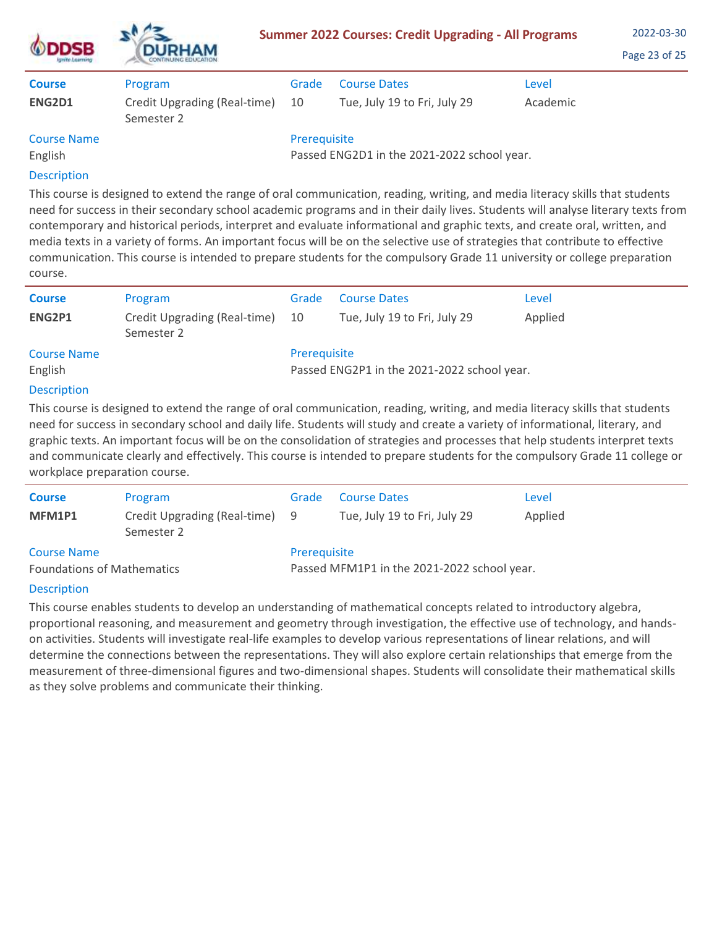| <b>ODDSB</b>       | <b>DURHAM</b>                              |              | <b>Summer 2022 Courses: Credit Upgrading - All Programs</b> |          | 2022-03-30<br>Page 23 of 25 |
|--------------------|--------------------------------------------|--------------|-------------------------------------------------------------|----------|-----------------------------|
| <b>Course</b>      | Program                                    | Grade        | <b>Course Dates</b>                                         | Level    |                             |
| ENG2D1             | Credit Upgrading (Real-time)<br>Semester 2 | 10           | Tue, July 19 to Fri, July 29                                | Academic |                             |
| <b>Course Name</b> |                                            | Prerequisite |                                                             |          |                             |
| English            |                                            |              | Passed ENG2D1 in the 2021-2022 school year.                 |          |                             |
| <b>Description</b> |                                            |              |                                                             |          |                             |

This course is designed to extend the range of oral communication, reading, writing, and media literacy skills that students need for success in their secondary school academic programs and in their daily lives. Students will analyse literary texts from contemporary and historical periods, interpret and evaluate informational and graphic texts, and create oral, written, and media texts in a variety of forms. An important focus will be on the selective use of strategies that contribute to effective communication. This course is intended to prepare students for the compulsory Grade 11 university or college preparation course.

| <b>Course</b>      | Program                                    | Grade        | <b>Course Dates</b>                         | Level   |
|--------------------|--------------------------------------------|--------------|---------------------------------------------|---------|
| ENG2P1             | Credit Upgrading (Real-time)<br>Semester 2 | 10           | Tue, July 19 to Fri, July 29                | Applied |
| <b>Course Name</b> |                                            | Prerequisite |                                             |         |
| English            |                                            |              | Passed ENG2P1 in the 2021-2022 school year. |         |
| <b>Description</b> |                                            |              |                                             |         |

This course is designed to extend the range of oral communication, reading, writing, and media literacy skills that students need for success in secondary school and daily life. Students will study and create a variety of informational, literary, and graphic texts. An important focus will be on the consolidation of strategies and processes that help students interpret texts and communicate clearly and effectively. This course is intended to prepare students for the compulsory Grade 11 college or workplace preparation course.

| <b>Course</b>                                           | Program                                      | Grade        | <b>Course Dates</b>                         | Level   |
|---------------------------------------------------------|----------------------------------------------|--------------|---------------------------------------------|---------|
| MFM1P1                                                  | Credit Upgrading (Real-time) 9<br>Semester 2 |              | Tue, July 19 to Fri, July 29                | Applied |
| <b>Course Name</b><br><b>Foundations of Mathematics</b> |                                              | Prerequisite | Passed MFM1P1 in the 2021-2022 school year. |         |

# **Description**

This course enables students to develop an understanding of mathematical concepts related to introductory algebra, proportional reasoning, and measurement and geometry through investigation, the effective use of technology, and handson activities. Students will investigate real-life examples to develop various representations of linear relations, and will determine the connections between the representations. They will also explore certain relationships that emerge from the measurement of three-dimensional figures and two-dimensional shapes. Students will consolidate their mathematical skills as they solve problems and communicate their thinking.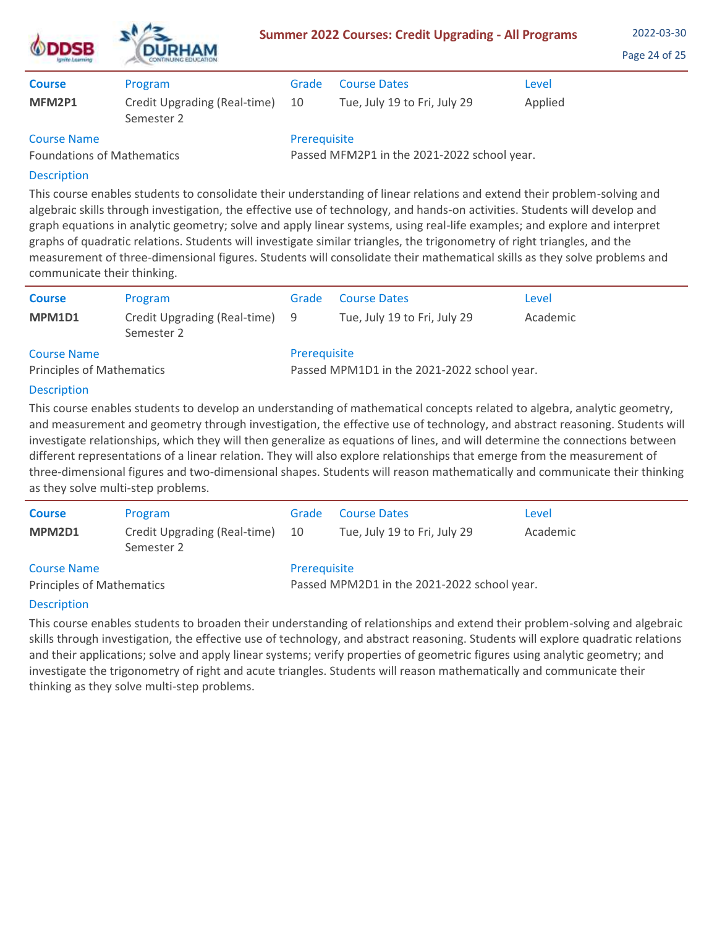| <b>ODDSB</b><br><b>Ignite Learning</b> | <b>DURHAM</b><br>CONTINUING EDUCATION      |                                             | <b>Summer 2022 Courses: Credit Upgrading - All Programs</b> |         | 2022-03-30<br>Page 24 of 25 |
|----------------------------------------|--------------------------------------------|---------------------------------------------|-------------------------------------------------------------|---------|-----------------------------|
| <b>Course</b>                          | Program                                    | Grade                                       | <b>Course Dates</b>                                         | Level   |                             |
| MFM2P1                                 | Credit Upgrading (Real-time)<br>Semester 2 | 10                                          | Tue, July 19 to Fri, July 29                                | Applied |                             |
| <b>Course Name</b>                     |                                            | Prerequisite                                |                                                             |         |                             |
| <b>Foundations of Mathematics</b>      |                                            | Passed MFM2P1 in the 2021-2022 school year. |                                                             |         |                             |

 $\mathbf{A}$ 

# Description

This course enables students to consolidate their understanding of linear relations and extend their problem-solving and algebraic skills through investigation, the effective use of technology, and hands-on activities. Students will develop and graph equations in analytic geometry; solve and apply linear systems, using real-life examples; and explore and interpret graphs of quadratic relations. Students will investigate similar triangles, the trigonometry of right triangles, and the measurement of three-dimensional figures. Students will consolidate their mathematical skills as they solve problems and communicate their thinking.

| <b>Course</b><br>MPM1D1                                | Program<br>Credit Upgrading (Real-time) 9<br>Semester 2 | Grade        | <b>Course Dates</b><br>Tue, July 19 to Fri, July 29 | Level<br>Academic |
|--------------------------------------------------------|---------------------------------------------------------|--------------|-----------------------------------------------------|-------------------|
| <b>Course Name</b><br><b>Principles of Mathematics</b> |                                                         | Prerequisite | Passed MPM1D1 in the 2021-2022 school year.         |                   |

# Description

This course enables students to develop an understanding of mathematical concepts related to algebra, analytic geometry, and measurement and geometry through investigation, the effective use of technology, and abstract reasoning. Students will investigate relationships, which they will then generalize as equations of lines, and will determine the connections between different representations of a linear relation. They will also explore relationships that emerge from the measurement of three-dimensional figures and two-dimensional shapes. Students will reason mathematically and communicate their thinking as they solve multi-step problems.

| <b>Course</b><br>MPM2D1                                | Program<br>Credit Upgrading (Real-time)<br>Semester 2 | Grade<br>10  | <b>Course Dates</b><br>Tue, July 19 to Fri, July 29 | Level<br>Academic |
|--------------------------------------------------------|-------------------------------------------------------|--------------|-----------------------------------------------------|-------------------|
| <b>Course Name</b><br><b>Principles of Mathematics</b> |                                                       | Prerequisite | Passed MPM2D1 in the 2021-2022 school year.         |                   |

# **Description**

This course enables students to broaden their understanding of relationships and extend their problem-solving and algebraic skills through investigation, the effective use of technology, and abstract reasoning. Students will explore quadratic relations and their applications; solve and apply linear systems; verify properties of geometric figures using analytic geometry; and investigate the trigonometry of right and acute triangles. Students will reason mathematically and communicate their thinking as they solve multi-step problems.